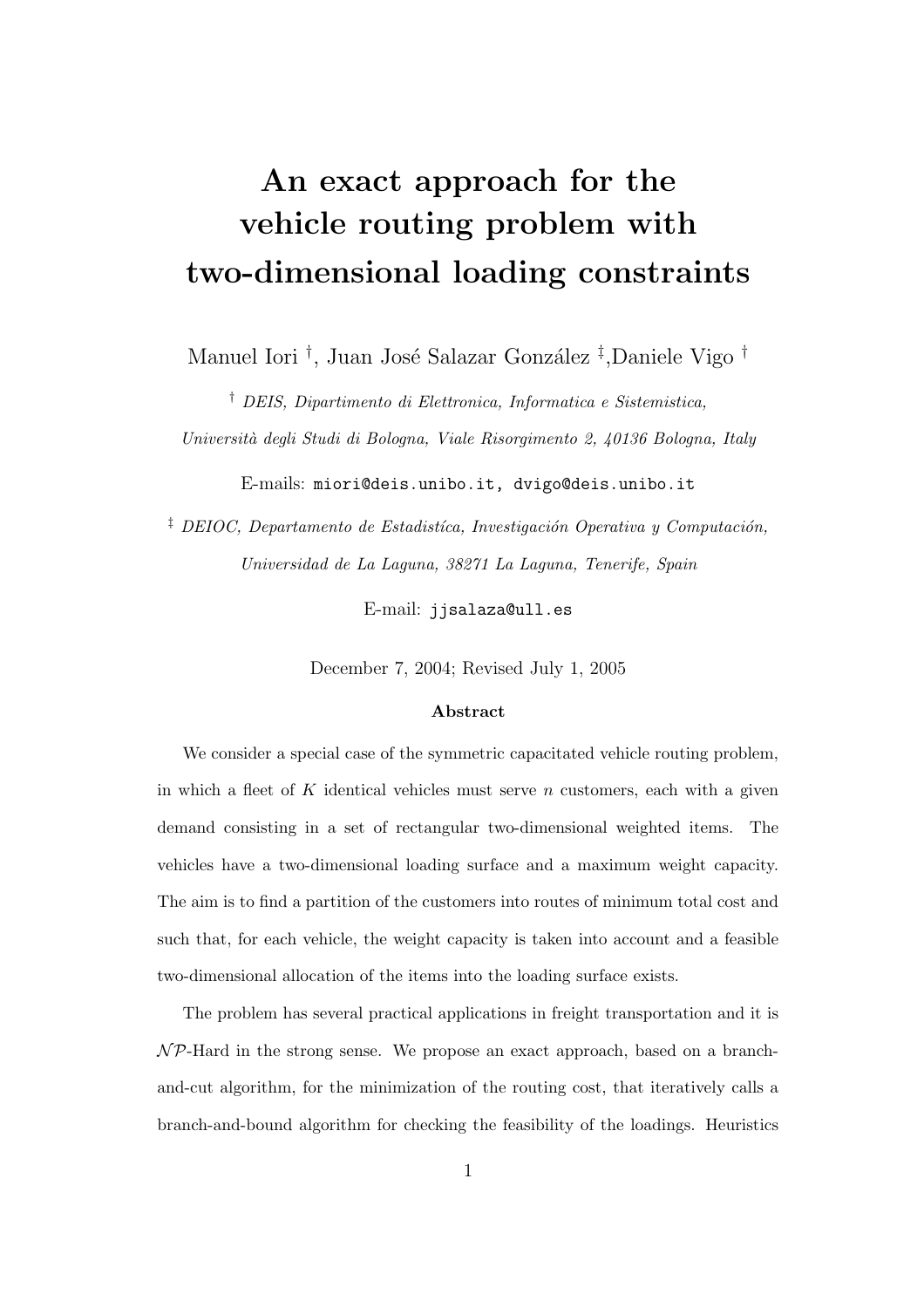# An exact approach for the vehicle routing problem with two-dimensional loading constraints

Manuel Iori <sup>†</sup>, Juan José Salazar González <sup>‡</sup>,Daniele Vigo <sup>†</sup>

† DEIS, Dipartimento di Elettronica, Informatica e Sistemistica, Universit`a degli Studi di Bologna, Viale Risorgimento 2, 40136 Bologna, Italy

E-mails: miori@deis.unibo.it, dvigo@deis.unibo.it

<sup> $\ddagger$ </sup> DEIOC, Departamento de Estadistíca, Investigación Operativa y Computación, Universidad de La Laguna, 38271 La Laguna, Tenerife, Spain

E-mail: jjsalaza@ull.es

December 7, 2004; Revised July 1, 2005

#### Abstract

We consider a special case of the symmetric capacitated vehicle routing problem, in which a fleet of  $K$  identical vehicles must serve  $n$  customers, each with a given demand consisting in a set of rectangular two-dimensional weighted items. The vehicles have a two-dimensional loading surface and a maximum weight capacity. The aim is to find a partition of the customers into routes of minimum total cost and such that, for each vehicle, the weight capacity is taken into account and a feasible two-dimensional allocation of the items into the loading surface exists.

The problem has several practical applications in freight transportation and it is  $\mathcal{NP}$ -Hard in the strong sense. We propose an exact approach, based on a branchand-cut algorithm, for the minimization of the routing cost, that iteratively calls a branch-and-bound algorithm for checking the feasibility of the loadings. Heuristics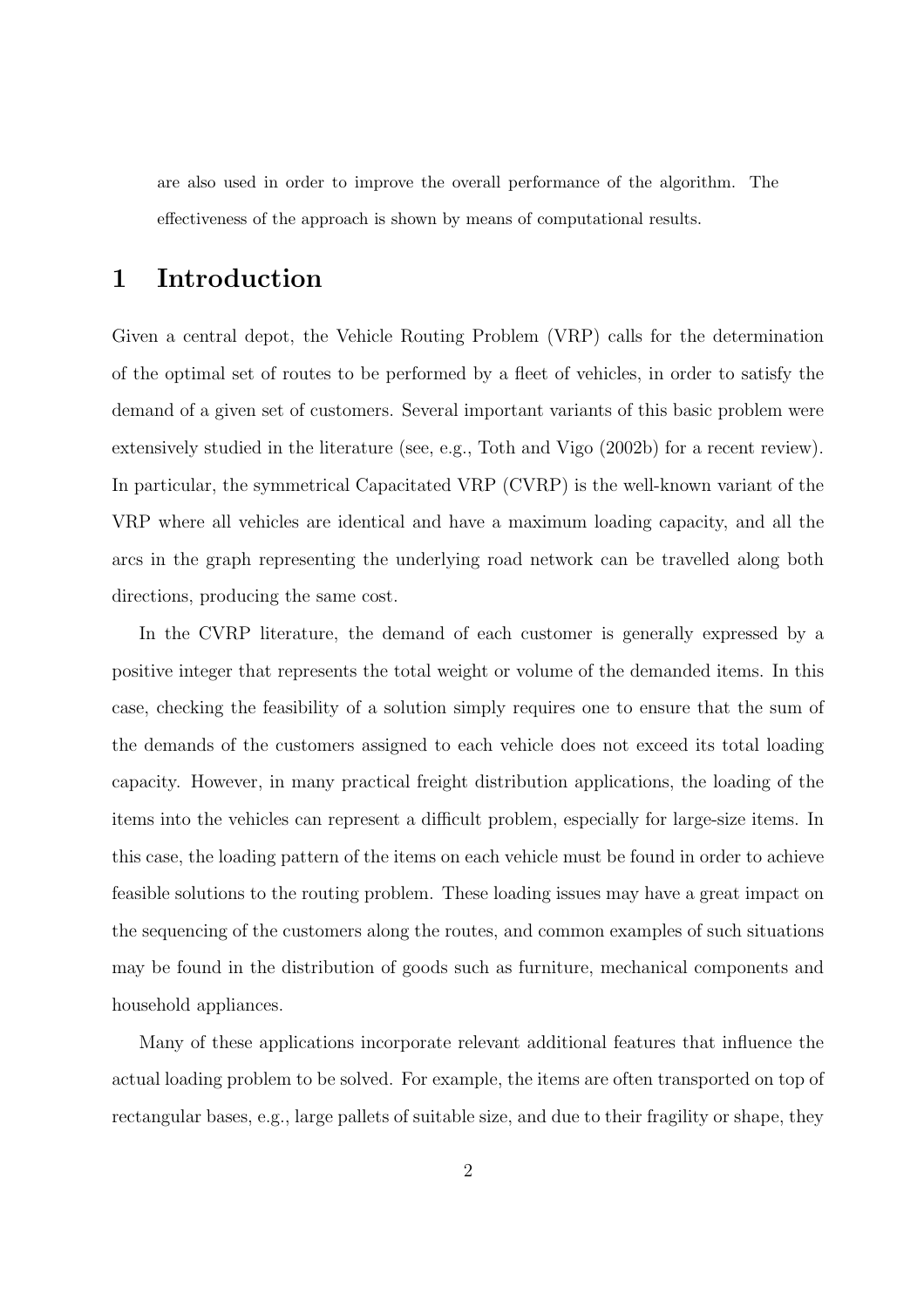are also used in order to improve the overall performance of the algorithm. The effectiveness of the approach is shown by means of computational results.

## 1 Introduction

Given a central depot, the Vehicle Routing Problem (VRP) calls for the determination of the optimal set of routes to be performed by a fleet of vehicles, in order to satisfy the demand of a given set of customers. Several important variants of this basic problem were extensively studied in the literature (see, e.g., Toth and Vigo (2002b) for a recent review). In particular, the symmetrical Capacitated VRP (CVRP) is the well-known variant of the VRP where all vehicles are identical and have a maximum loading capacity, and all the arcs in the graph representing the underlying road network can be travelled along both directions, producing the same cost.

In the CVRP literature, the demand of each customer is generally expressed by a positive integer that represents the total weight or volume of the demanded items. In this case, checking the feasibility of a solution simply requires one to ensure that the sum of the demands of the customers assigned to each vehicle does not exceed its total loading capacity. However, in many practical freight distribution applications, the loading of the items into the vehicles can represent a difficult problem, especially for large-size items. In this case, the loading pattern of the items on each vehicle must be found in order to achieve feasible solutions to the routing problem. These loading issues may have a great impact on the sequencing of the customers along the routes, and common examples of such situations may be found in the distribution of goods such as furniture, mechanical components and household appliances.

Many of these applications incorporate relevant additional features that influence the actual loading problem to be solved. For example, the items are often transported on top of rectangular bases, e.g., large pallets of suitable size, and due to their fragility or shape, they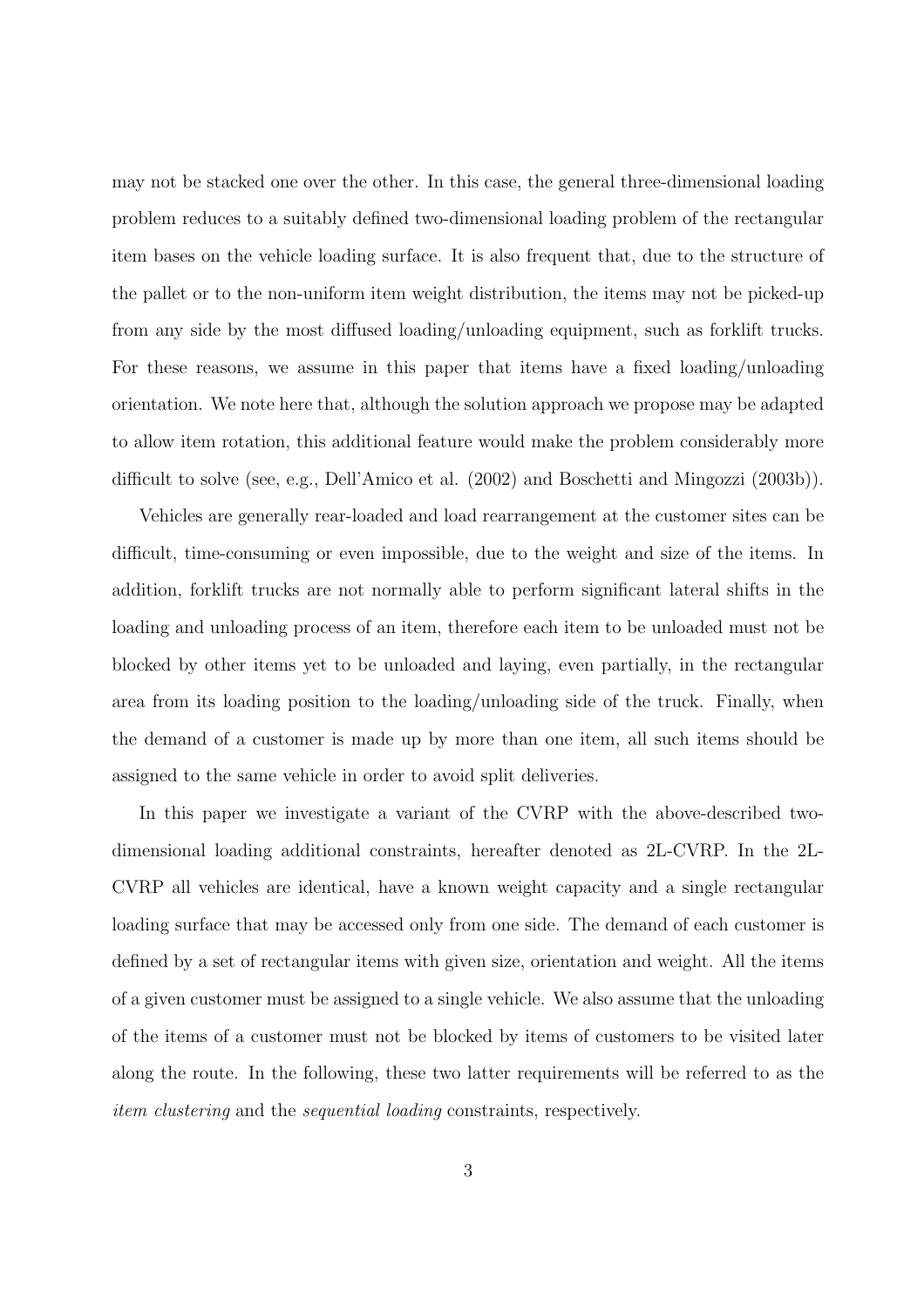may not be stacked one over the other. In this case, the general three-dimensional loading problem reduces to a suitably defined two-dimensional loading problem of the rectangular item bases on the vehicle loading surface. It is also frequent that, due to the structure of the pallet or to the non-uniform item weight distribution, the items may not be picked-up from any side by the most diffused loading/unloading equipment, such as forklift trucks. For these reasons, we assume in this paper that items have a fixed loading/unloading orientation. We note here that, although the solution approach we propose may be adapted to allow item rotation, this additional feature would make the problem considerably more difficult to solve (see, e.g., Dell'Amico et al. (2002) and Boschetti and Mingozzi (2003b)).

Vehicles are generally rear-loaded and load rearrangement at the customer sites can be difficult, time-consuming or even impossible, due to the weight and size of the items. In addition, forklift trucks are not normally able to perform significant lateral shifts in the loading and unloading process of an item, therefore each item to be unloaded must not be blocked by other items yet to be unloaded and laying, even partially, in the rectangular area from its loading position to the loading/unloading side of the truck. Finally, when the demand of a customer is made up by more than one item, all such items should be assigned to the same vehicle in order to avoid split deliveries.

In this paper we investigate a variant of the CVRP with the above-described twodimensional loading additional constraints, hereafter denoted as 2L-CVRP. In the 2L-CVRP all vehicles are identical, have a known weight capacity and a single rectangular loading surface that may be accessed only from one side. The demand of each customer is defined by a set of rectangular items with given size, orientation and weight. All the items of a given customer must be assigned to a single vehicle. We also assume that the unloading of the items of a customer must not be blocked by items of customers to be visited later along the route. In the following, these two latter requirements will be referred to as the item clustering and the sequential loading constraints, respectively.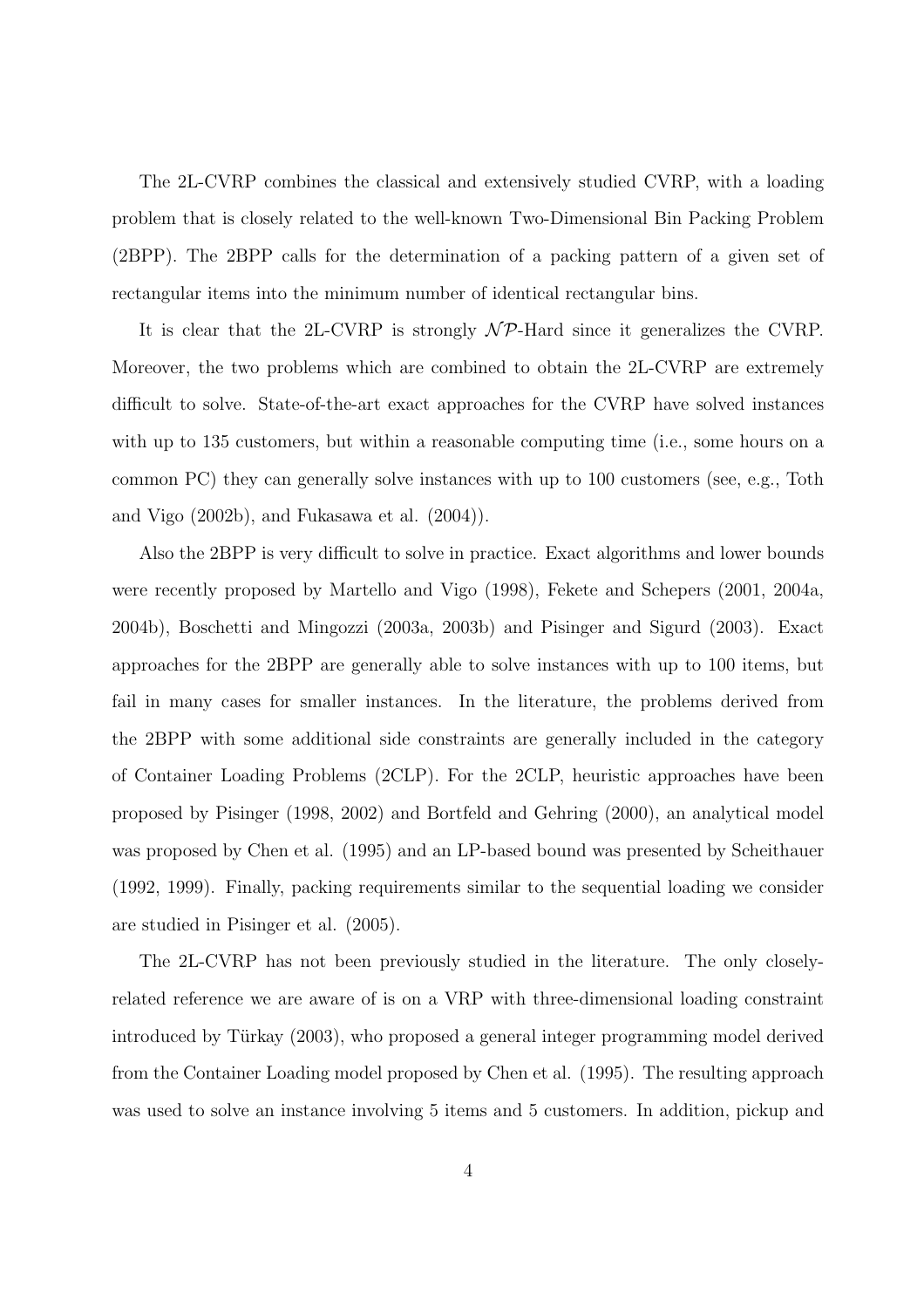The 2L-CVRP combines the classical and extensively studied CVRP, with a loading problem that is closely related to the well-known Two-Dimensional Bin Packing Problem (2BPP). The 2BPP calls for the determination of a packing pattern of a given set of rectangular items into the minimum number of identical rectangular bins.

It is clear that the 2L-CVRP is strongly  $N\mathcal{P}$ -Hard since it generalizes the CVRP. Moreover, the two problems which are combined to obtain the 2L-CVRP are extremely difficult to solve. State-of-the-art exact approaches for the CVRP have solved instances with up to 135 customers, but within a reasonable computing time (i.e., some hours on a common PC) they can generally solve instances with up to 100 customers (see, e.g., Toth and Vigo (2002b), and Fukasawa et al. (2004)).

Also the 2BPP is very difficult to solve in practice. Exact algorithms and lower bounds were recently proposed by Martello and Vigo (1998), Fekete and Schepers (2001, 2004a, 2004b), Boschetti and Mingozzi (2003a, 2003b) and Pisinger and Sigurd (2003). Exact approaches for the 2BPP are generally able to solve instances with up to 100 items, but fail in many cases for smaller instances. In the literature, the problems derived from the 2BPP with some additional side constraints are generally included in the category of Container Loading Problems (2CLP). For the 2CLP, heuristic approaches have been proposed by Pisinger (1998, 2002) and Bortfeld and Gehring (2000), an analytical model was proposed by Chen et al. (1995) and an LP-based bound was presented by Scheithauer (1992, 1999). Finally, packing requirements similar to the sequential loading we consider are studied in Pisinger et al. (2005).

The 2L-CVRP has not been previously studied in the literature. The only closelyrelated reference we are aware of is on a VRP with three-dimensional loading constraint introduced by Türkay (2003), who proposed a general integer programming model derived from the Container Loading model proposed by Chen et al. (1995). The resulting approach was used to solve an instance involving 5 items and 5 customers. In addition, pickup and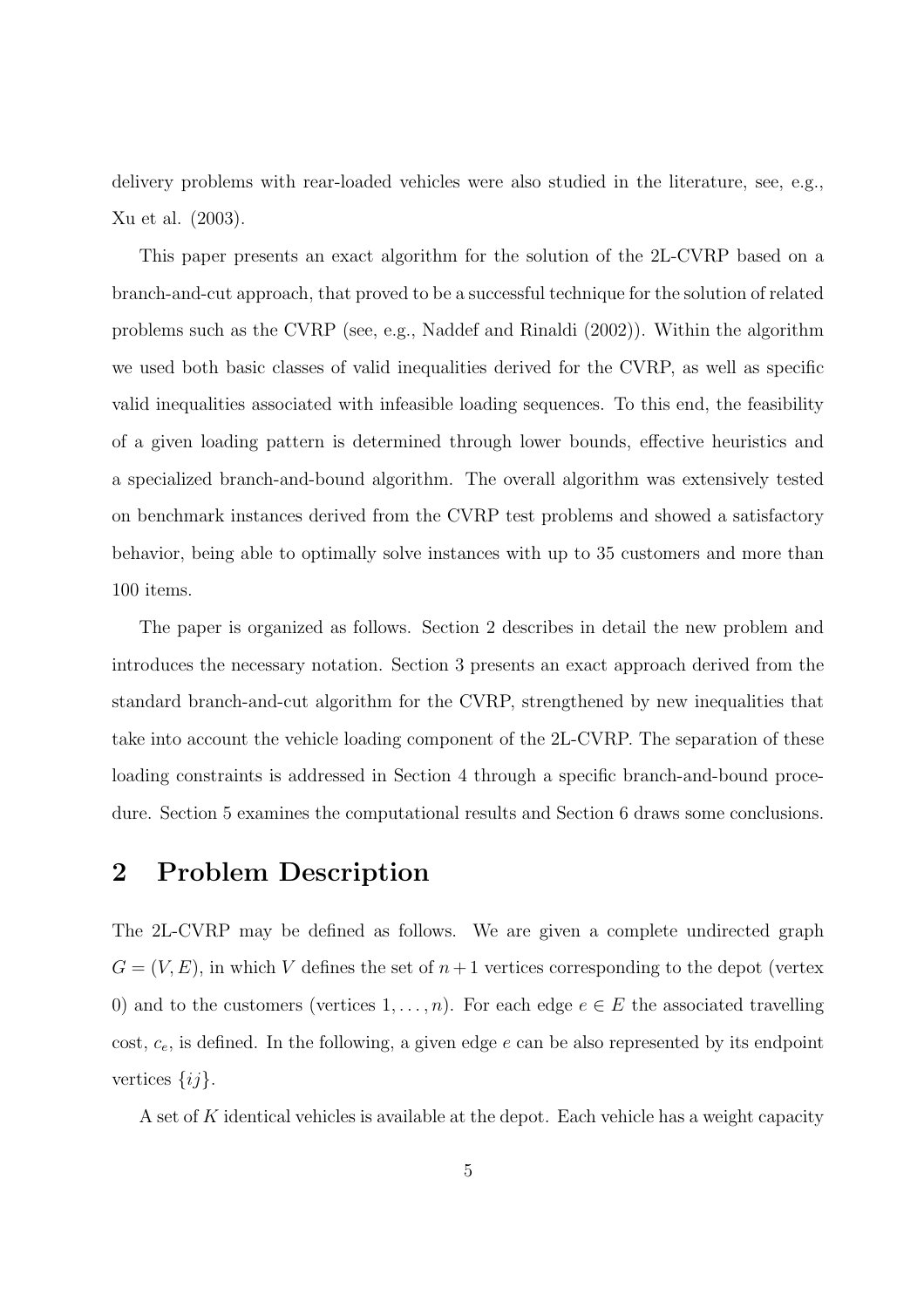delivery problems with rear-loaded vehicles were also studied in the literature, see, e.g., Xu et al. (2003).

This paper presents an exact algorithm for the solution of the 2L-CVRP based on a branch-and-cut approach, that proved to be a successful technique for the solution of related problems such as the CVRP (see, e.g., Naddef and Rinaldi (2002)). Within the algorithm we used both basic classes of valid inequalities derived for the CVRP, as well as specific valid inequalities associated with infeasible loading sequences. To this end, the feasibility of a given loading pattern is determined through lower bounds, effective heuristics and a specialized branch-and-bound algorithm. The overall algorithm was extensively tested on benchmark instances derived from the CVRP test problems and showed a satisfactory behavior, being able to optimally solve instances with up to 35 customers and more than 100 items.

The paper is organized as follows. Section 2 describes in detail the new problem and introduces the necessary notation. Section 3 presents an exact approach derived from the standard branch-and-cut algorithm for the CVRP, strengthened by new inequalities that take into account the vehicle loading component of the 2L-CVRP. The separation of these loading constraints is addressed in Section 4 through a specific branch-and-bound procedure. Section 5 examines the computational results and Section 6 draws some conclusions.

### 2 Problem Description

The 2L-CVRP may be defined as follows. We are given a complete undirected graph  $G = (V, E)$ , in which V defines the set of  $n+1$  vertices corresponding to the depot (vertex 0) and to the customers (vertices  $1, \ldots, n$ ). For each edge  $e \in E$  the associated travelling cost,  $c_e$ , is defined. In the following, a given edge e can be also represented by its endpoint vertices  $\{ij\}.$ 

A set of K identical vehicles is available at the depot. Each vehicle has a weight capacity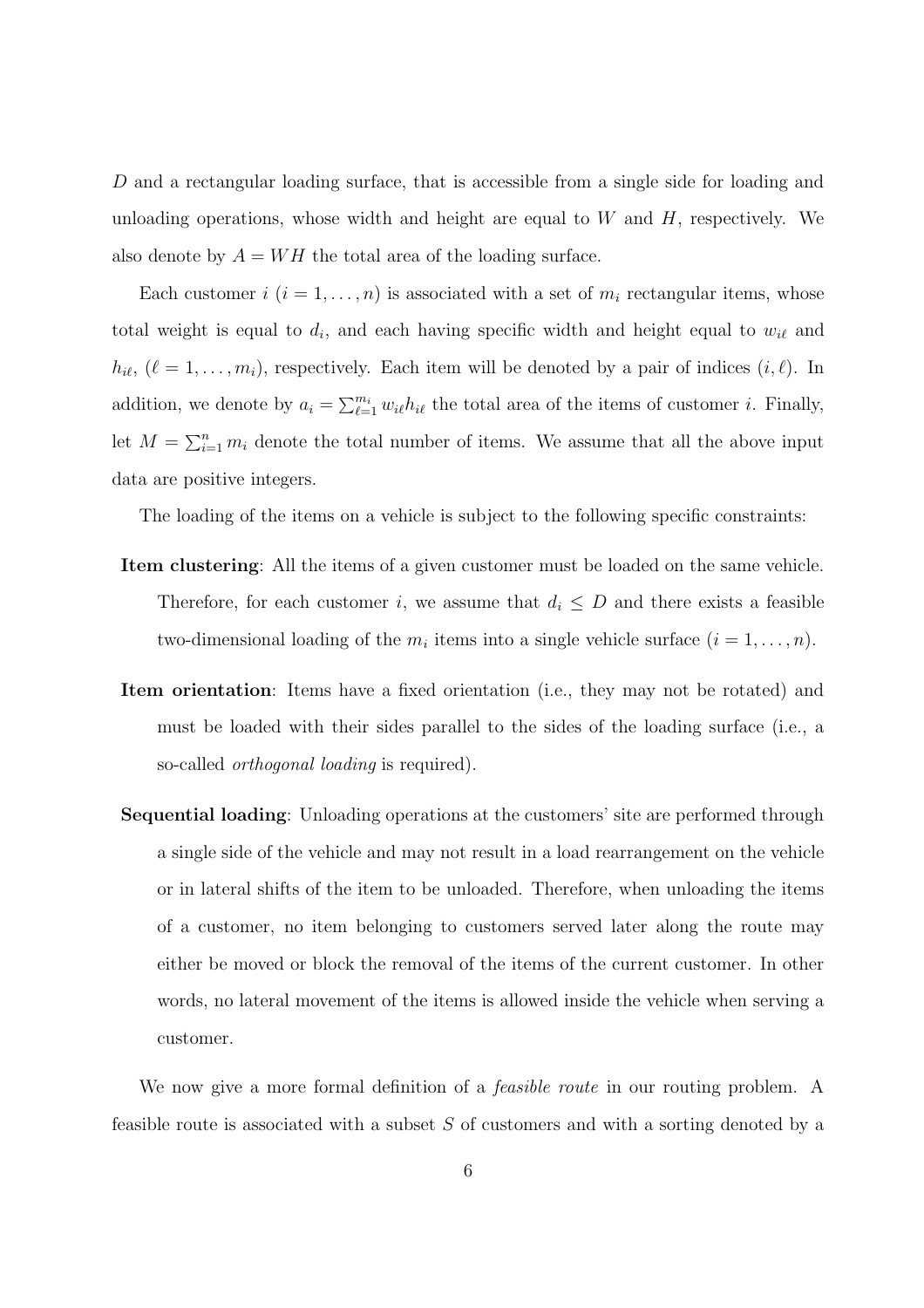D and a rectangular loading surface, that is accessible from a single side for loading and unloading operations, whose width and height are equal to  $W$  and  $H$ , respectively. We also denote by  $A = WH$  the total area of the loading surface.

Each customer  $i$   $(i = 1, ..., n)$  is associated with a set of  $m_i$  rectangular items, whose total weight is equal to  $d_i$ , and each having specific width and height equal to  $w_{i\ell}$  and  $h_{i\ell}$ ,  $(\ell = 1, \ldots, m_i)$ , respectively. Each item will be denoted by a pair of indices  $(i, \ell)$ . In addition, we denote by  $a_i = \sum_{\ell=1}^{m_i} w_{i\ell} h_{i\ell}$  the total area of the items of customer *i*. Finally, let  $M = \sum_{i=1}^n m_i$  denote the total number of items. We assume that all the above input data are positive integers.

The loading of the items on a vehicle is subject to the following specific constraints:

- Item clustering: All the items of a given customer must be loaded on the same vehicle. Therefore, for each customer i, we assume that  $d_i \leq D$  and there exists a feasible two-dimensional loading of the  $m_i$  items into a single vehicle surface  $(i = 1, \ldots, n)$ .
- Item orientation: Items have a fixed orientation (i.e., they may not be rotated) and must be loaded with their sides parallel to the sides of the loading surface (i.e., a so-called orthogonal loading is required).
- Sequential loading: Unloading operations at the customers' site are performed through a single side of the vehicle and may not result in a load rearrangement on the vehicle or in lateral shifts of the item to be unloaded. Therefore, when unloading the items of a customer, no item belonging to customers served later along the route may either be moved or block the removal of the items of the current customer. In other words, no lateral movement of the items is allowed inside the vehicle when serving a customer.

We now give a more formal definition of a *feasible route* in our routing problem. A feasible route is associated with a subset S of customers and with a sorting denoted by a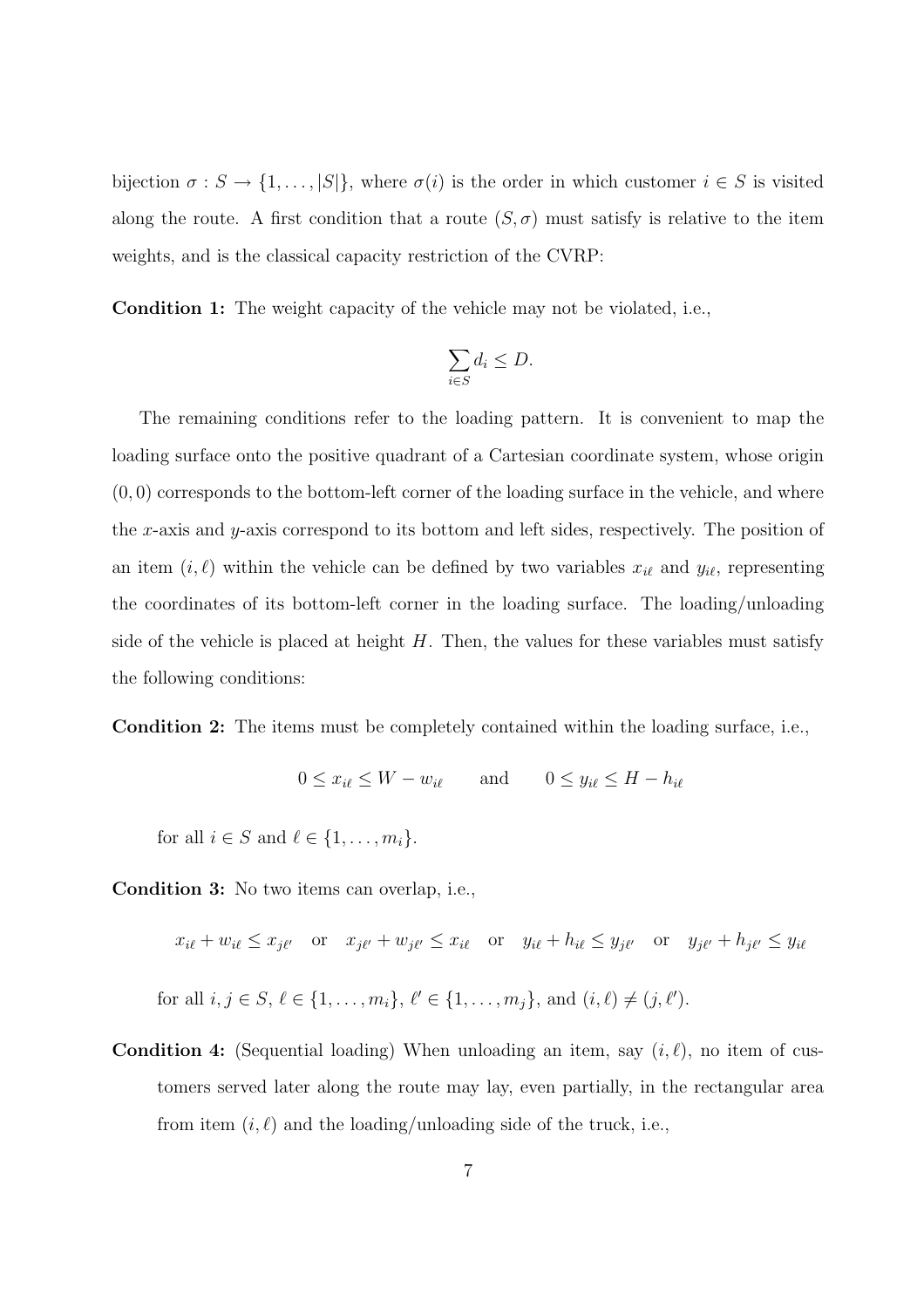bijection  $\sigma : S \to \{1, \ldots, |S|\}$ , where  $\sigma(i)$  is the order in which customer  $i \in S$  is visited along the route. A first condition that a route  $(S, \sigma)$  must satisfy is relative to the item weights, and is the classical capacity restriction of the CVRP:

Condition 1: The weight capacity of the vehicle may not be violated, i.e.,

$$
\sum_{i \in S} d_i \le D.
$$

The remaining conditions refer to the loading pattern. It is convenient to map the loading surface onto the positive quadrant of a Cartesian coordinate system, whose origin  $(0, 0)$  corresponds to the bottom-left corner of the loading surface in the vehicle, and where the x-axis and y-axis correspond to its bottom and left sides, respectively. The position of an item  $(i, \ell)$  within the vehicle can be defined by two variables  $x_{i\ell}$  and  $y_{i\ell}$ , representing the coordinates of its bottom-left corner in the loading surface. The loading/unloading side of the vehicle is placed at height  $H$ . Then, the values for these variables must satisfy the following conditions:

Condition 2: The items must be completely contained within the loading surface, i.e.,

$$
0 \le x_{i\ell} \le W - w_{i\ell} \qquad \text{and} \qquad 0 \le y_{i\ell} \le H - h_{i\ell}
$$

for all  $i \in S$  and  $\ell \in \{1, \ldots, m_i\}.$ 

Condition 3: No two items can overlap, i.e.,

 $x_{i\ell} + w_{i\ell} \leq x_{j\ell'}$  or  $x_{j\ell'} + w_{j\ell'} \leq x_{i\ell}$  or  $y_{i\ell} + h_{i\ell} \leq y_{j\ell'}$  or  $y_{j\ell'} + h_{j\ell'} \leq y_{i\ell}$ 

- for all  $i, j \in S, \ell \in \{1, ..., m_i\}, \ell' \in \{1, ..., m_j\}, \text{and } (i, \ell) \neq (j, \ell').$
- **Condition 4:** (Sequential loading) When unloading an item, say  $(i, \ell)$ , no item of customers served later along the route may lay, even partially, in the rectangular area from item  $(i, \ell)$  and the loading/unloading side of the truck, i.e.,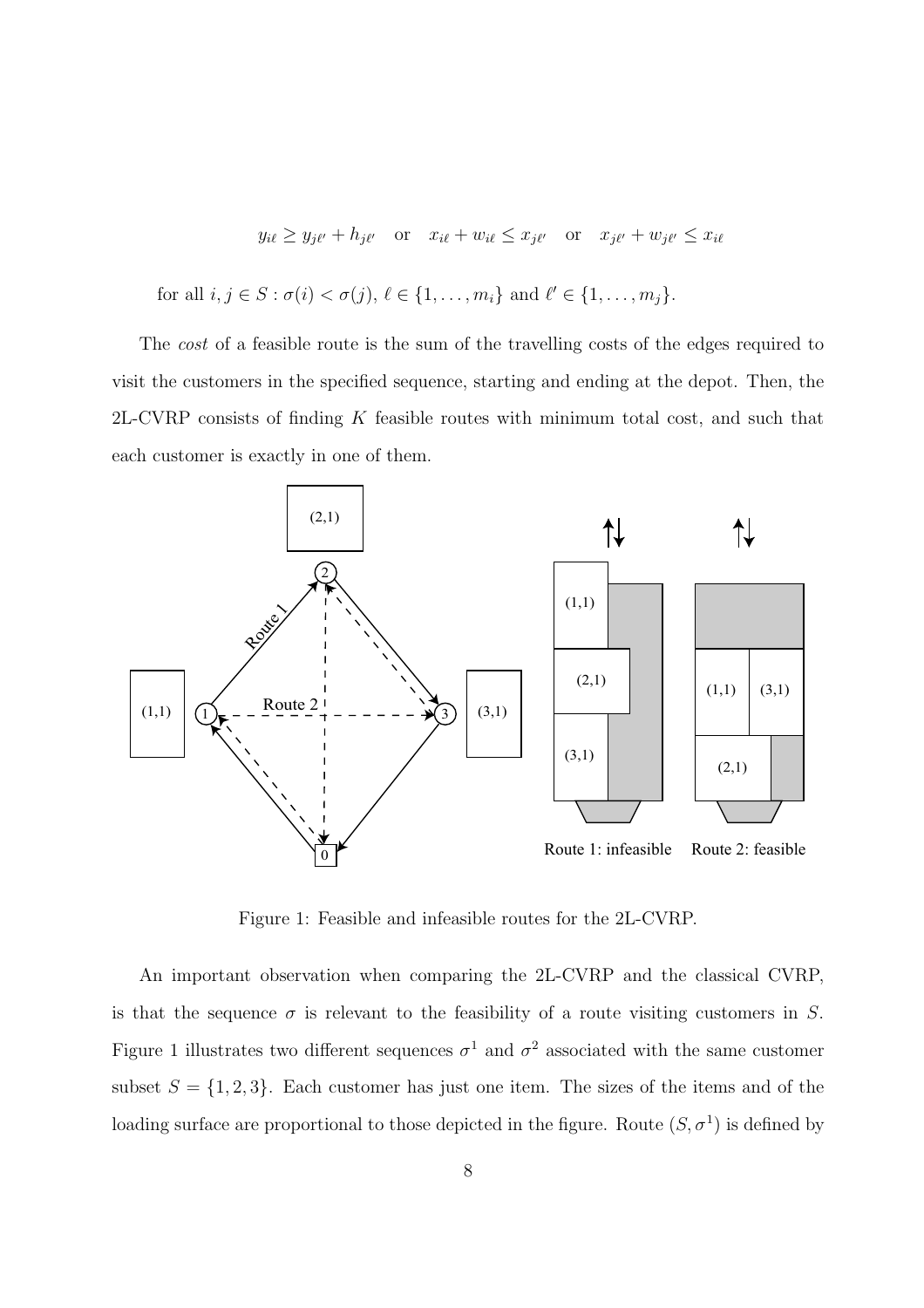$$
y_{i\ell} \ge y_{j\ell'} + h_{j\ell'} \quad \text{or} \quad x_{i\ell} + w_{i\ell} \le x_{j\ell'} \quad \text{or} \quad x_{j\ell'} + w_{j\ell'} \le x_{i\ell}
$$
  
for all  $i, j \in S : \sigma(i) < \sigma(j), \ell \in \{1, ..., m_i\}$  and  $\ell' \in \{1, ..., m_j\}.$ 

The *cost* of a feasible route is the sum of the travelling costs of the edges required to visit the customers in the specified sequence, starting and ending at the depot. Then, the  $2L$ -CVRP consists of finding  $K$  feasible routes with minimum total cost, and such that each customer is exactly in one of them.



Figure 1: Feasible and infeasible routes for the 2L-CVRP.

An important observation when comparing the 2L-CVRP and the classical CVRP, is that the sequence  $\sigma$  is relevant to the feasibility of a route visiting customers in S. Figure 1 illustrates two different sequences  $\sigma^1$  and  $\sigma^2$  associated with the same customer subset  $S = \{1, 2, 3\}$ . Each customer has just one item. The sizes of the items and of the loading surface are proportional to those depicted in the figure. Route  $(S, \sigma^1)$  is defined by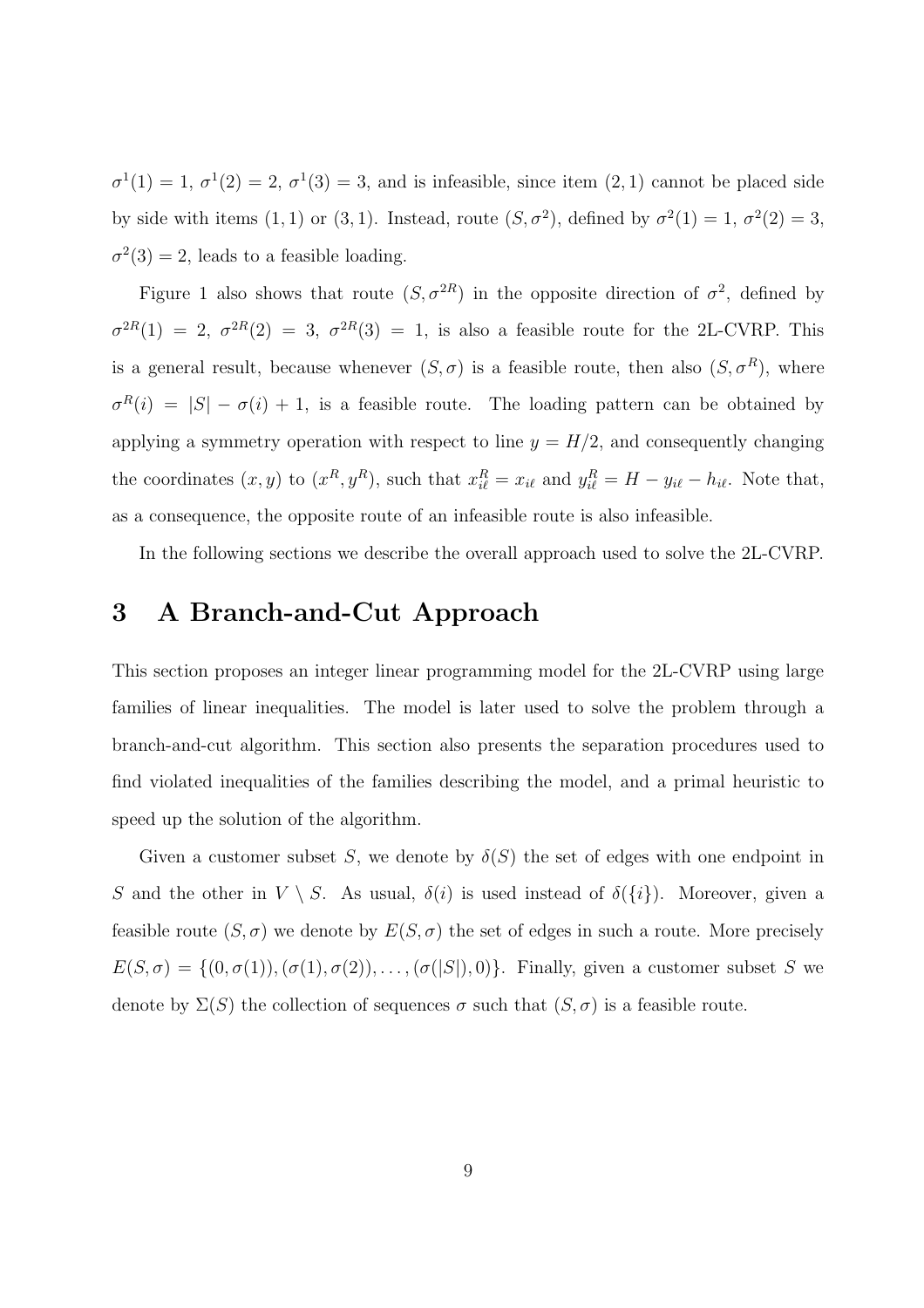$\sigma^1(1) = 1, \sigma^1(2) = 2, \sigma^1(3) = 3$ , and is infeasible, since item  $(2, 1)$  cannot be placed side by side with items (1, 1) or (3, 1). Instead, route  $(S, \sigma^2)$ , defined by  $\sigma^2(1) = 1$ ,  $\sigma^2(2) = 3$ ,  $\sigma^2(3) = 2$ , leads to a feasible loading.

Figure 1 also shows that route  $(S, \sigma^{2R})$  in the opposite direction of  $\sigma^2$ , defined by  $\sigma^{2R}(1) = 2, \sigma^{2R}(2) = 3, \sigma^{2R}(3) = 1$ , is also a feasible route for the 2L-CVRP. This is a general result, because whenever  $(S, \sigma)$  is a feasible route, then also  $(S, \sigma^R)$ , where  $\sigma^{R}(i) = |S| - \sigma(i) + 1$ , is a feasible route. The loading pattern can be obtained by applying a symmetry operation with respect to line  $y = H/2$ , and consequently changing the coordinates  $(x, y)$  to  $(x^R, y^R)$ , such that  $x_{i\ell}^R = x_{i\ell}$  and  $y_{i\ell}^R = H - y_{i\ell} - h_{i\ell}$ . Note that, as a consequence, the opposite route of an infeasible route is also infeasible.

In the following sections we describe the overall approach used to solve the 2L-CVRP.

# 3 A Branch-and-Cut Approach

This section proposes an integer linear programming model for the 2L-CVRP using large families of linear inequalities. The model is later used to solve the problem through a branch-and-cut algorithm. This section also presents the separation procedures used to find violated inequalities of the families describing the model, and a primal heuristic to speed up the solution of the algorithm.

Given a customer subset S, we denote by  $\delta(S)$  the set of edges with one endpoint in S and the other in  $V \setminus S$ . As usual,  $\delta(i)$  is used instead of  $\delta({i})$ . Moreover, given a feasible route  $(S, \sigma)$  we denote by  $E(S, \sigma)$  the set of edges in such a route. More precisely  $E(S,\sigma) = \{(0,\sigma(1)),(\sigma(1),\sigma(2)),\ldots,(\sigma(|S|),0)\}.$  Finally, given a customer subset S we denote by  $\Sigma(S)$  the collection of sequences  $\sigma$  such that  $(S, \sigma)$  is a feasible route.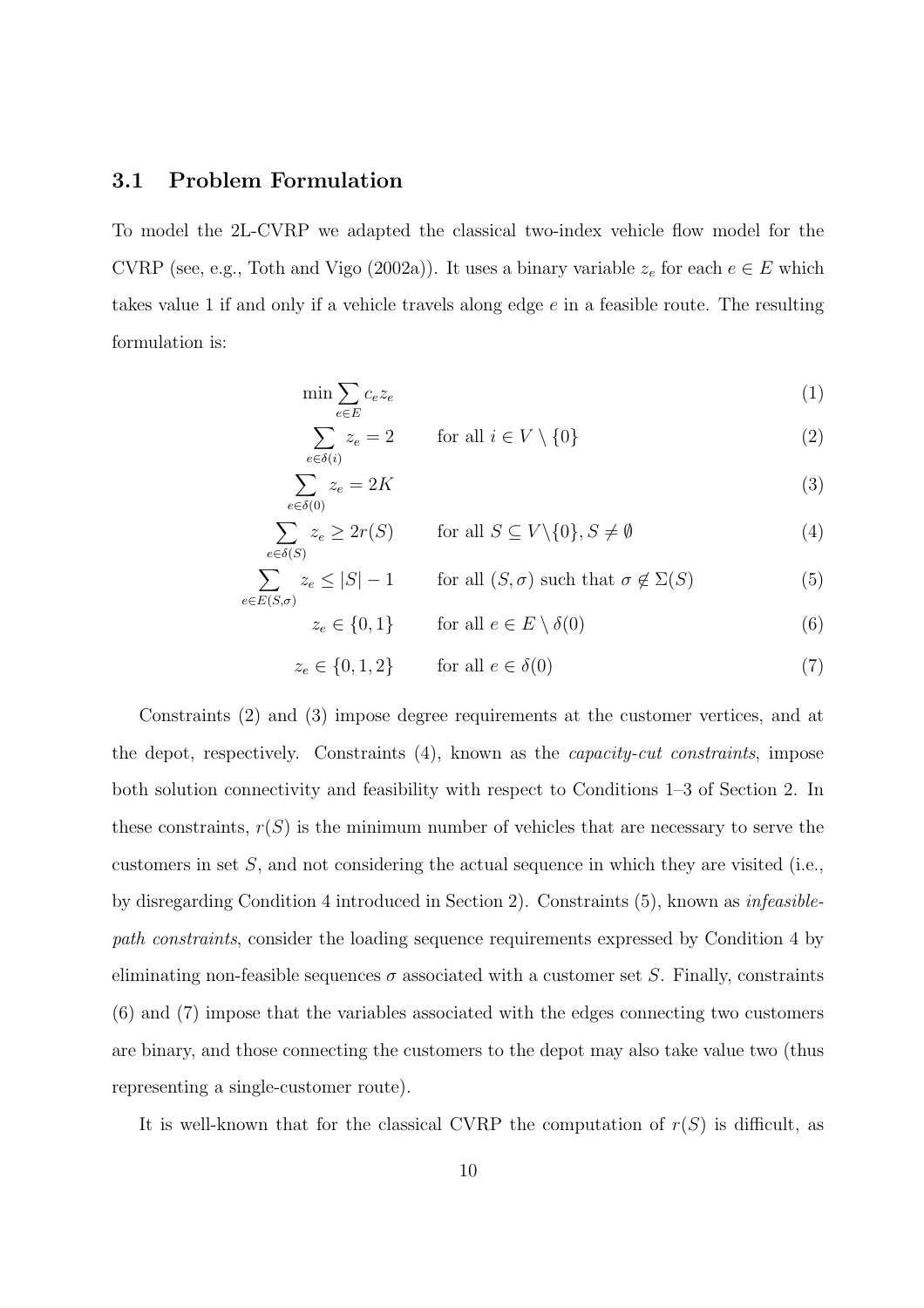#### 3.1 Problem Formulation

 $e \in$ 

To model the 2L-CVRP we adapted the classical two-index vehicle flow model for the CVRP (see, e.g., Toth and Vigo (2002a)). It uses a binary variable  $z_e$  for each  $e \in E$  which takes value 1 if and only if a vehicle travels along edge  $e$  in a feasible route. The resulting formulation is:

$$
\min \sum_{e \in E} c_e z_e \tag{1}
$$

$$
\sum_{e \in \delta(i)} z_e = 2 \qquad \text{for all } i \in V \setminus \{0\}
$$
 (2)

$$
\sum_{e \in \delta(0)} z_e = 2K\tag{3}
$$

$$
\sum_{e \in \delta(S)} z_e \ge 2r(S) \qquad \text{for all } S \subseteq V \setminus \{0\}, S \neq \emptyset \tag{4}
$$

$$
\sum_{E(S,\sigma)} z_e \le |S| - 1 \qquad \text{for all } (S,\sigma) \text{ such that } \sigma \notin \Sigma(S) \tag{5}
$$

$$
z_e \in \{0, 1\} \qquad \text{for all } e \in E \setminus \delta(0) \tag{6}
$$

$$
z_e \in \{0, 1, 2\} \qquad \text{for all } e \in \delta(0)
$$
 (7)

Constraints (2) and (3) impose degree requirements at the customer vertices, and at the depot, respectively. Constraints (4), known as the capacity-cut constraints, impose both solution connectivity and feasibility with respect to Conditions 1–3 of Section 2. In these constraints,  $r(S)$  is the minimum number of vehicles that are necessary to serve the customers in set  $S$ , and not considering the actual sequence in which they are visited (i.e., by disregarding Condition 4 introduced in Section 2). Constraints (5), known as infeasiblepath constraints, consider the loading sequence requirements expressed by Condition 4 by eliminating non-feasible sequences  $\sigma$  associated with a customer set S. Finally, constraints (6) and (7) impose that the variables associated with the edges connecting two customers are binary, and those connecting the customers to the depot may also take value two (thus representing a single-customer route).

It is well-known that for the classical CVRP the computation of  $r(S)$  is difficult, as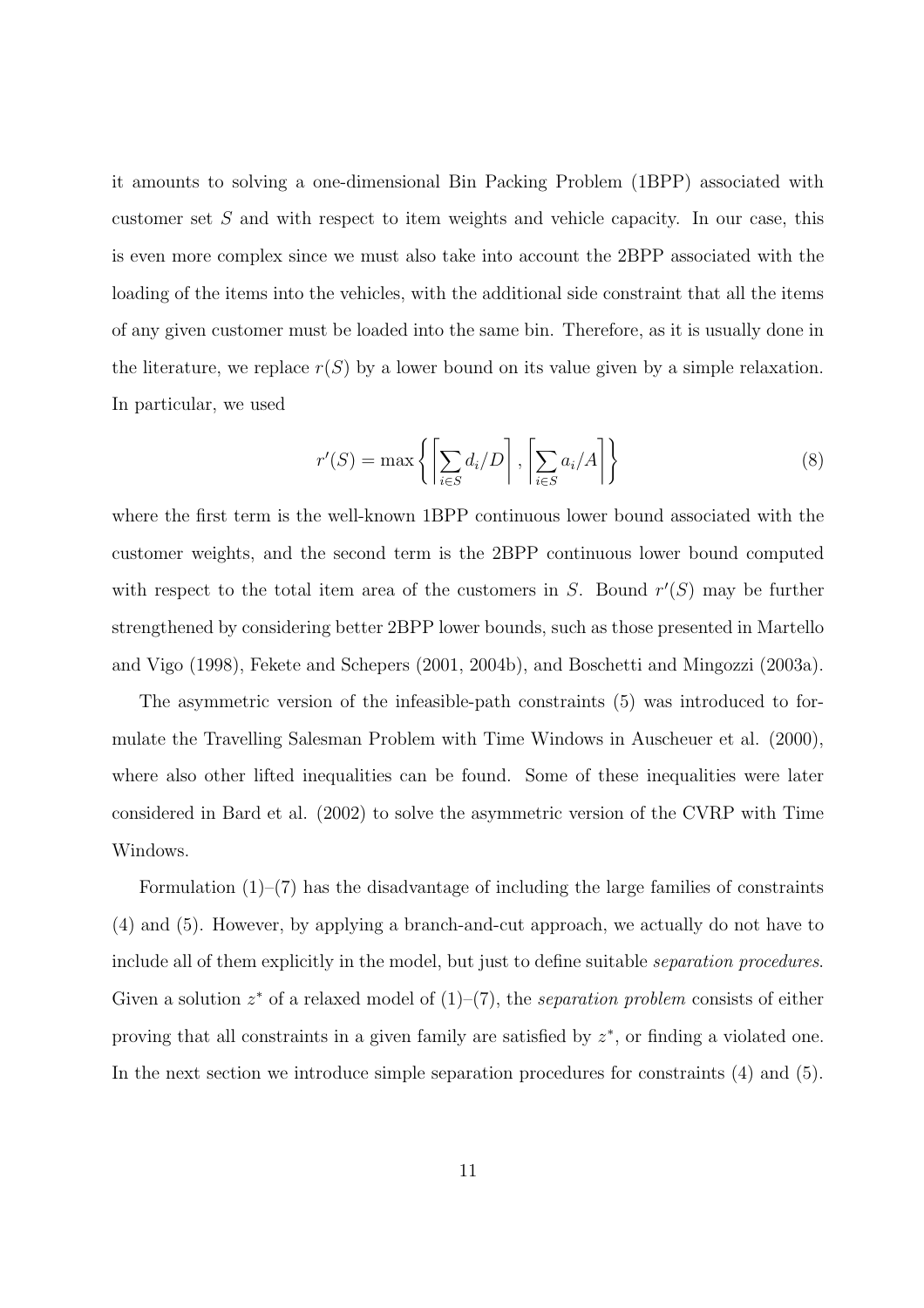it amounts to solving a one-dimensional Bin Packing Problem (1BPP) associated with customer set S and with respect to item weights and vehicle capacity. In our case, this is even more complex since we must also take into account the 2BPP associated with the loading of the items into the vehicles, with the additional side constraint that all the items of any given customer must be loaded into the same bin. Therefore, as it is usually done in the literature, we replace  $r(S)$  by a lower bound on its value given by a simple relaxation. In particular, we used

$$
r'(S) = \max\left\{ \left[ \sum_{i \in S} d_i / D \right], \left[ \sum_{i \in S} a_i / A \right] \right\} \tag{8}
$$

where the first term is the well-known 1BPP continuous lower bound associated with the customer weights, and the second term is the 2BPP continuous lower bound computed with respect to the total item area of the customers in  $S$ . Bound  $r'(S)$  may be further strengthened by considering better 2BPP lower bounds, such as those presented in Martello and Vigo (1998), Fekete and Schepers (2001, 2004b), and Boschetti and Mingozzi (2003a).

The asymmetric version of the infeasible-path constraints (5) was introduced to formulate the Travelling Salesman Problem with Time Windows in Auscheuer et al. (2000), where also other lifted inequalities can be found. Some of these inequalities were later considered in Bard et al. (2002) to solve the asymmetric version of the CVRP with Time Windows.

Formulation  $(1)$ – $(7)$  has the disadvantage of including the large families of constraints (4) and (5). However, by applying a branch-and-cut approach, we actually do not have to include all of them explicitly in the model, but just to define suitable separation procedures. Given a solution  $z^*$  of a relaxed model of  $(1)$ – $(7)$ , the separation problem consists of either proving that all constraints in a given family are satisfied by  $z^*$ , or finding a violated one. In the next section we introduce simple separation procedures for constraints (4) and (5).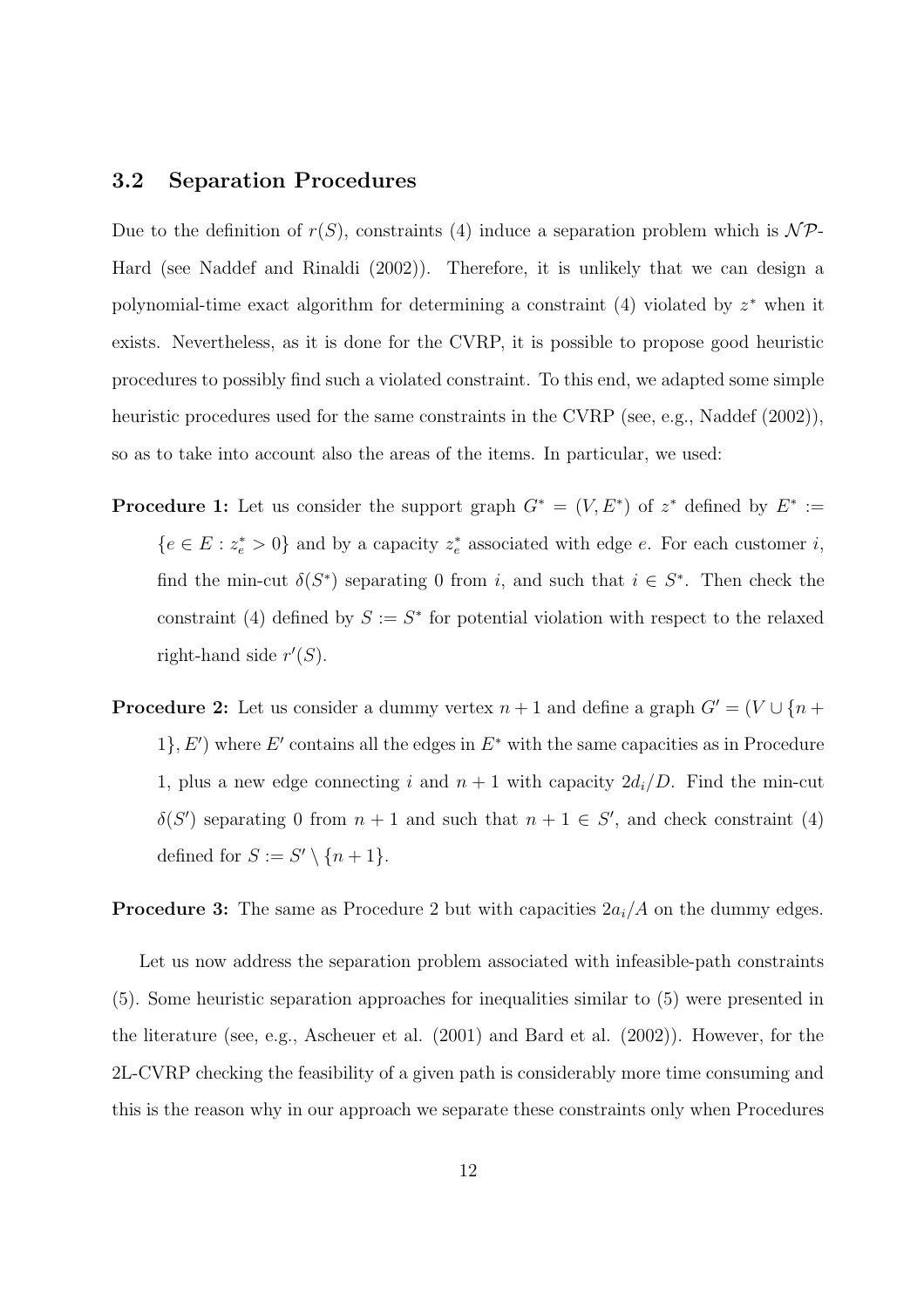#### 3.2 Separation Procedures

Due to the definition of  $r(S)$ , constraints (4) induce a separation problem which is  $\mathcal{NP}$ -Hard (see Naddef and Rinaldi (2002)). Therefore, it is unlikely that we can design a polynomial-time exact algorithm for determining a constraint  $(4)$  violated by  $z^*$  when it exists. Nevertheless, as it is done for the CVRP, it is possible to propose good heuristic procedures to possibly find such a violated constraint. To this end, we adapted some simple heuristic procedures used for the same constraints in the CVRP (see, e.g., Naddef (2002)), so as to take into account also the areas of the items. In particular, we used:

- **Procedure 1:** Let us consider the support graph  $G^* = (V, E^*)$  of  $z^*$  defined by  $E^* :=$  ${e \in E : z_e^* > 0}$  and by a capacity  $z_e^*$  associated with edge e. For each customer i, find the min-cut  $\delta(S^*)$  separating 0 from i, and such that  $i \in S^*$ . Then check the constraint (4) defined by  $S := S^*$  for potential violation with respect to the relaxed right-hand side  $r'(S)$ .
- **Procedure 2:** Let us consider a dummy vertex  $n + 1$  and define a graph  $G' = (V \cup \{n +$ 1,  $E'$ ) where  $E'$  contains all the edges in  $E^*$  with the same capacities as in Procedure 1, plus a new edge connecting i and  $n + 1$  with capacity  $2d_i/D$ . Find the min-cut  $\delta(S')$  separating 0 from  $n + 1$  and such that  $n + 1 \in S'$ , and check constraint (4) defined for  $S := S' \setminus \{n+1\}.$

**Procedure 3:** The same as Procedure 2 but with capacities  $2a_i/A$  on the dummy edges.

Let us now address the separation problem associated with infeasible-path constraints (5). Some heuristic separation approaches for inequalities similar to (5) were presented in the literature (see, e.g., Ascheuer et al. (2001) and Bard et al. (2002)). However, for the 2L-CVRP checking the feasibility of a given path is considerably more time consuming and this is the reason why in our approach we separate these constraints only when Procedures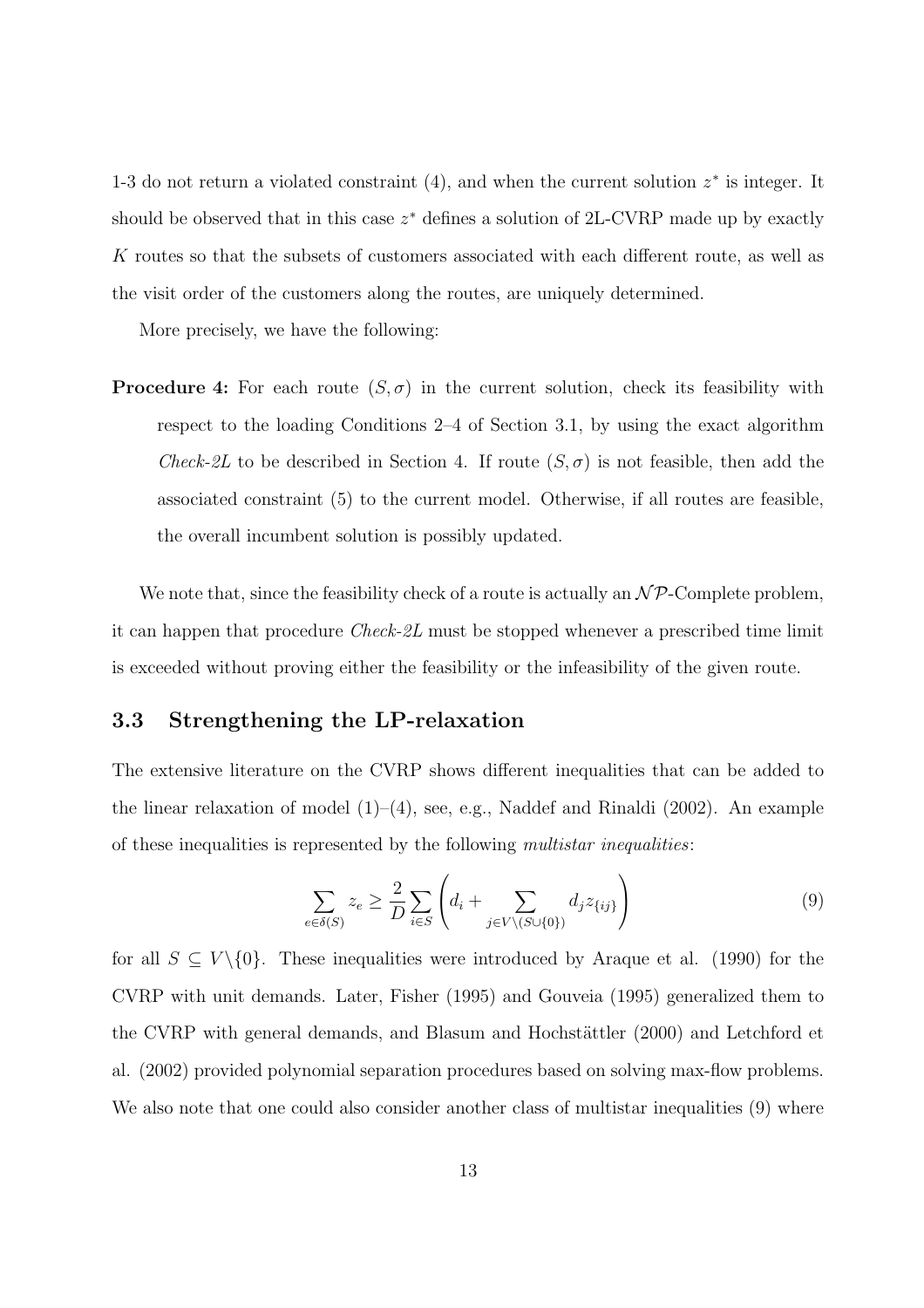1-3 do not return a violated constraint  $(4)$ , and when the current solution  $z^*$  is integer. It should be observed that in this case  $z^*$  defines a solution of 2L-CVRP made up by exactly K routes so that the subsets of customers associated with each different route, as well as the visit order of the customers along the routes, are uniquely determined.

More precisely, we have the following:

**Procedure 4:** For each route  $(S, \sigma)$  in the current solution, check its feasibility with respect to the loading Conditions 2–4 of Section 3.1, by using the exact algorithm *Check-2L* to be described in Section 4. If route  $(S, \sigma)$  is not feasible, then add the associated constraint (5) to the current model. Otherwise, if all routes are feasible, the overall incumbent solution is possibly updated.

We note that, since the feasibility check of a route is actually an  $\mathcal{NP}$ -Complete problem, it can happen that procedure Check-2L must be stopped whenever a prescribed time limit is exceeded without proving either the feasibility or the infeasibility of the given route.

#### 3.3 Strengthening the LP-relaxation

The extensive literature on the CVRP shows different inequalities that can be added to the linear relaxation of model  $(1)$ – $(4)$ , see, e.g., Naddef and Rinaldi  $(2002)$ . An example of these inequalities is represented by the following multistar inequalities:

$$
\sum_{e \in \delta(S)} z_e \ge \frac{2}{D} \sum_{i \in S} \left( d_i + \sum_{j \in V \setminus (S \cup \{0\})} d_j z_{\{ij\}} \right) \tag{9}
$$

for all  $S \subseteq V \setminus \{0\}$ . These inequalities were introduced by Araque et al. (1990) for the CVRP with unit demands. Later, Fisher (1995) and Gouveia (1995) generalized them to the CVRP with general demands, and Blasum and Hochstättler (2000) and Letchford et al. (2002) provided polynomial separation procedures based on solving max-flow problems. We also note that one could also consider another class of multistar inequalities (9) where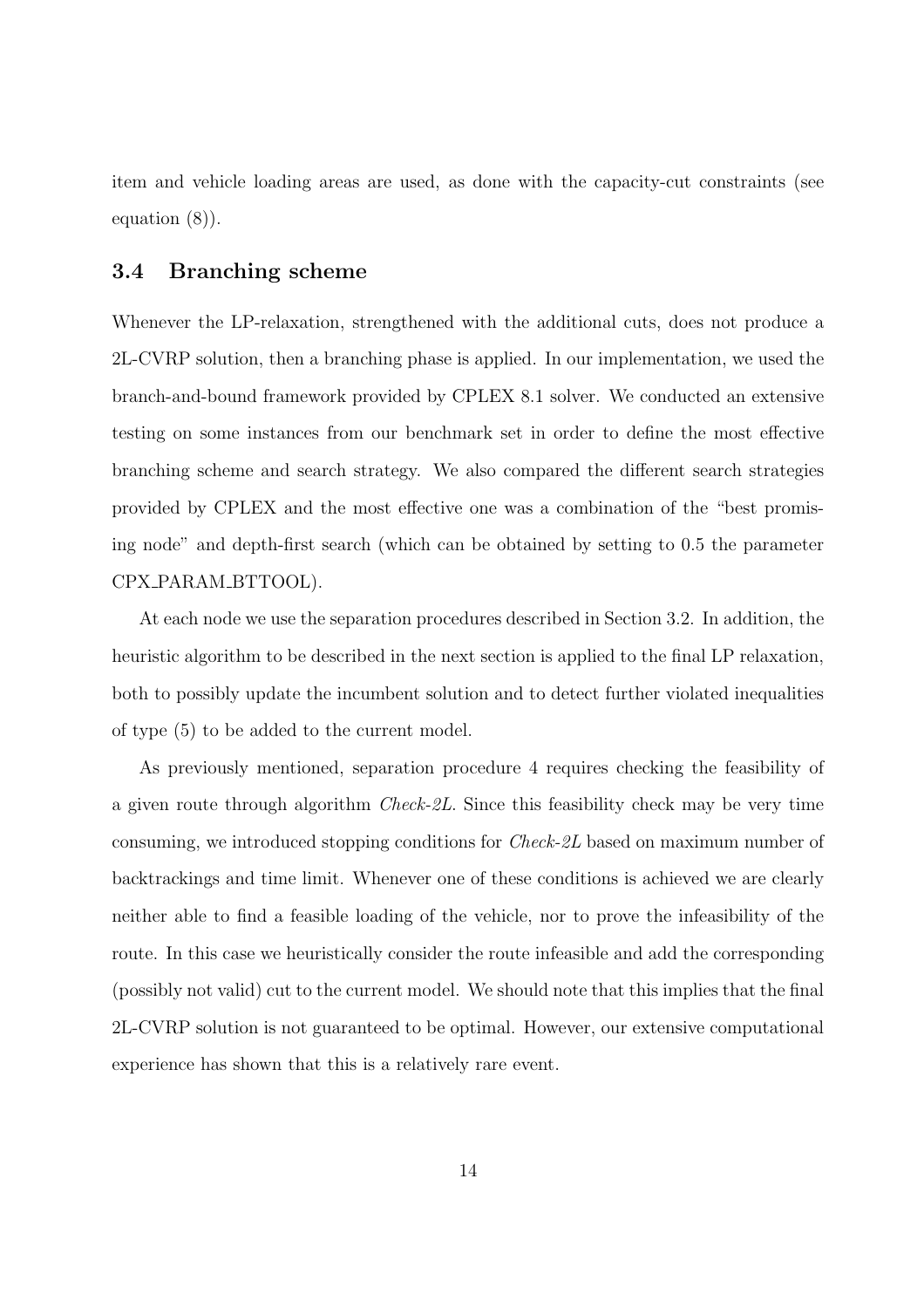item and vehicle loading areas are used, as done with the capacity-cut constraints (see equation (8)).

#### 3.4 Branching scheme

Whenever the LP-relaxation, strengthened with the additional cuts, does not produce a 2L-CVRP solution, then a branching phase is applied. In our implementation, we used the branch-and-bound framework provided by CPLEX 8.1 solver. We conducted an extensive testing on some instances from our benchmark set in order to define the most effective branching scheme and search strategy. We also compared the different search strategies provided by CPLEX and the most effective one was a combination of the "best promising node" and depth-first search (which can be obtained by setting to 0.5 the parameter CPX PARAM BTTOOL).

At each node we use the separation procedures described in Section 3.2. In addition, the heuristic algorithm to be described in the next section is applied to the final LP relaxation, both to possibly update the incumbent solution and to detect further violated inequalities of type (5) to be added to the current model.

As previously mentioned, separation procedure 4 requires checking the feasibility of a given route through algorithm Check-2L. Since this feasibility check may be very time consuming, we introduced stopping conditions for Check-2L based on maximum number of backtrackings and time limit. Whenever one of these conditions is achieved we are clearly neither able to find a feasible loading of the vehicle, nor to prove the infeasibility of the route. In this case we heuristically consider the route infeasible and add the corresponding (possibly not valid) cut to the current model. We should note that this implies that the final 2L-CVRP solution is not guaranteed to be optimal. However, our extensive computational experience has shown that this is a relatively rare event.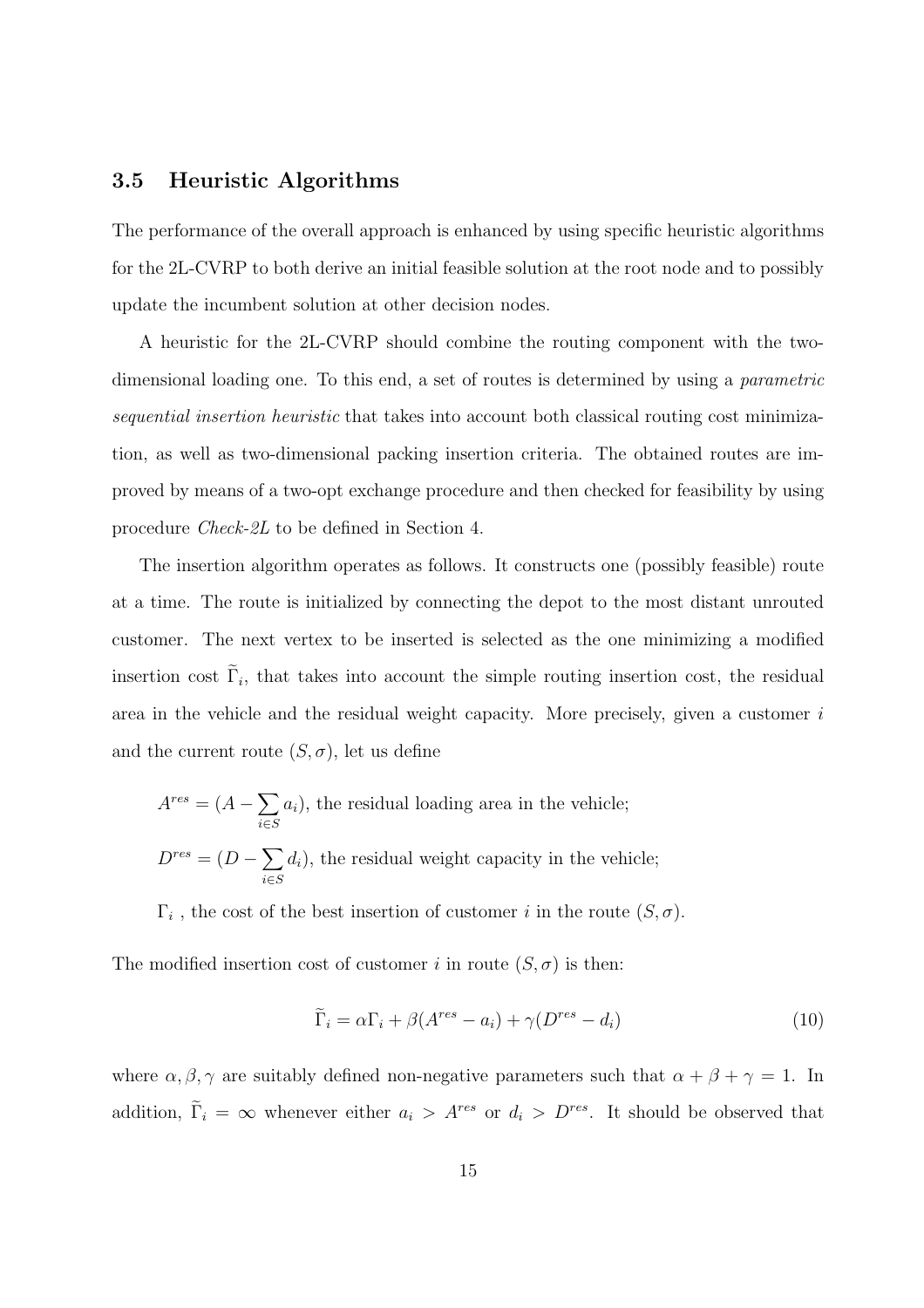#### 3.5 Heuristic Algorithms

The performance of the overall approach is enhanced by using specific heuristic algorithms for the 2L-CVRP to both derive an initial feasible solution at the root node and to possibly update the incumbent solution at other decision nodes.

A heuristic for the 2L-CVRP should combine the routing component with the twodimensional loading one. To this end, a set of routes is determined by using a *parametric* sequential insertion heuristic that takes into account both classical routing cost minimization, as well as two-dimensional packing insertion criteria. The obtained routes are improved by means of a two-opt exchange procedure and then checked for feasibility by using procedure Check-2L to be defined in Section 4.

The insertion algorithm operates as follows. It constructs one (possibly feasible) route at a time. The route is initialized by connecting the depot to the most distant unrouted customer. The next vertex to be inserted is selected as the one minimizing a modified insertion cost  $\Gamma_i$ , that takes into account the simple routing insertion cost, the residual area in the vehicle and the residual weight capacity. More precisely, given a customer i and the current route  $(S, \sigma)$ , let us define

$$
A^{res} = (A - \sum_{i \in S} a_i)
$$
, the residual loading area in the vehicle;  

$$
D^{res} = (D - \sum_{i \in S} d_i)
$$
, the residual weight capacity in the vehicle;

 $\Gamma_i$ , the cost of the best insertion of customer i in the route  $(S, \sigma)$ .

The modified insertion cost of customer i in route  $(S, \sigma)$  is then:

$$
\widetilde{\Gamma}_i = \alpha \Gamma_i + \beta (A^{res} - a_i) + \gamma (D^{res} - d_i)
$$
\n(10)

where  $\alpha, \beta, \gamma$  are suitably defined non-negative parameters such that  $\alpha + \beta + \gamma = 1$ . In addition,  $\tilde{\Gamma}_i = \infty$  whenever either  $a_i > A^{res}$  or  $d_i > D^{res}$ . It should be observed that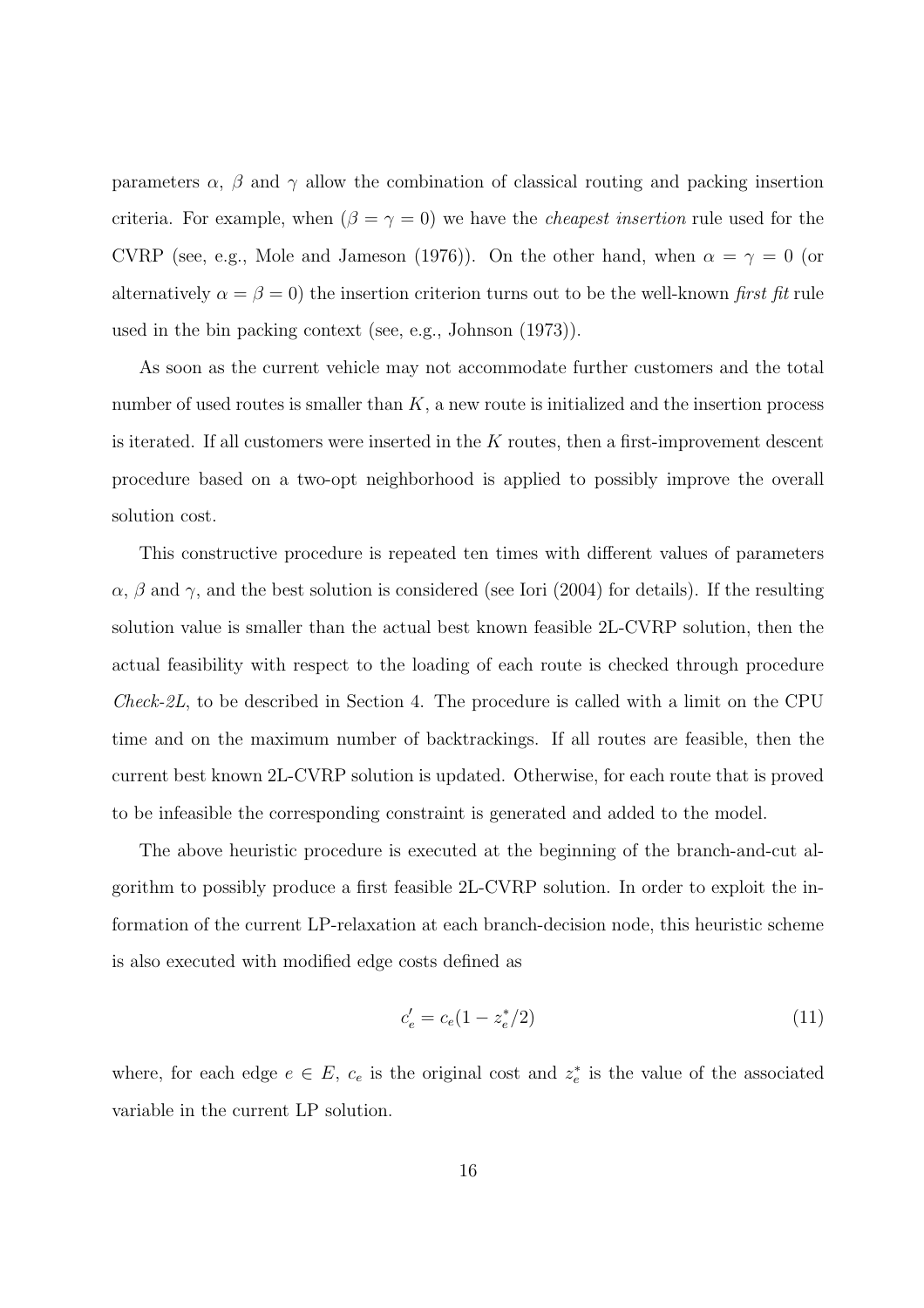parameters  $\alpha$ ,  $\beta$  and  $\gamma$  allow the combination of classical routing and packing insertion criteria. For example, when  $(\beta = \gamma = 0)$  we have the *cheapest insertion* rule used for the CVRP (see, e.g., Mole and Jameson (1976)). On the other hand, when  $\alpha = \gamma = 0$  (or alternatively  $\alpha = \beta = 0$ ) the insertion criterion turns out to be the well-known first fit rule used in the bin packing context (see, e.g., Johnson (1973)).

As soon as the current vehicle may not accommodate further customers and the total number of used routes is smaller than  $K$ , a new route is initialized and the insertion process is iterated. If all customers were inserted in the  $K$  routes, then a first-improvement descent procedure based on a two-opt neighborhood is applied to possibly improve the overall solution cost.

This constructive procedure is repeated ten times with different values of parameters  $\alpha$ ,  $\beta$  and  $\gamma$ , and the best solution is considered (see Iori (2004) for details). If the resulting solution value is smaller than the actual best known feasible 2L-CVRP solution, then the actual feasibility with respect to the loading of each route is checked through procedure *Check-2L*, to be described in Section 4. The procedure is called with a limit on the CPU time and on the maximum number of backtrackings. If all routes are feasible, then the current best known 2L-CVRP solution is updated. Otherwise, for each route that is proved to be infeasible the corresponding constraint is generated and added to the model.

The above heuristic procedure is executed at the beginning of the branch-and-cut algorithm to possibly produce a first feasible 2L-CVRP solution. In order to exploit the information of the current LP-relaxation at each branch-decision node, this heuristic scheme is also executed with modified edge costs defined as

$$
c'_e = c_e (1 - z_e^*/2) \tag{11}
$$

where, for each edge  $e \in E$ ,  $c_e$  is the original cost and  $z_e^*$  is the value of the associated variable in the current LP solution.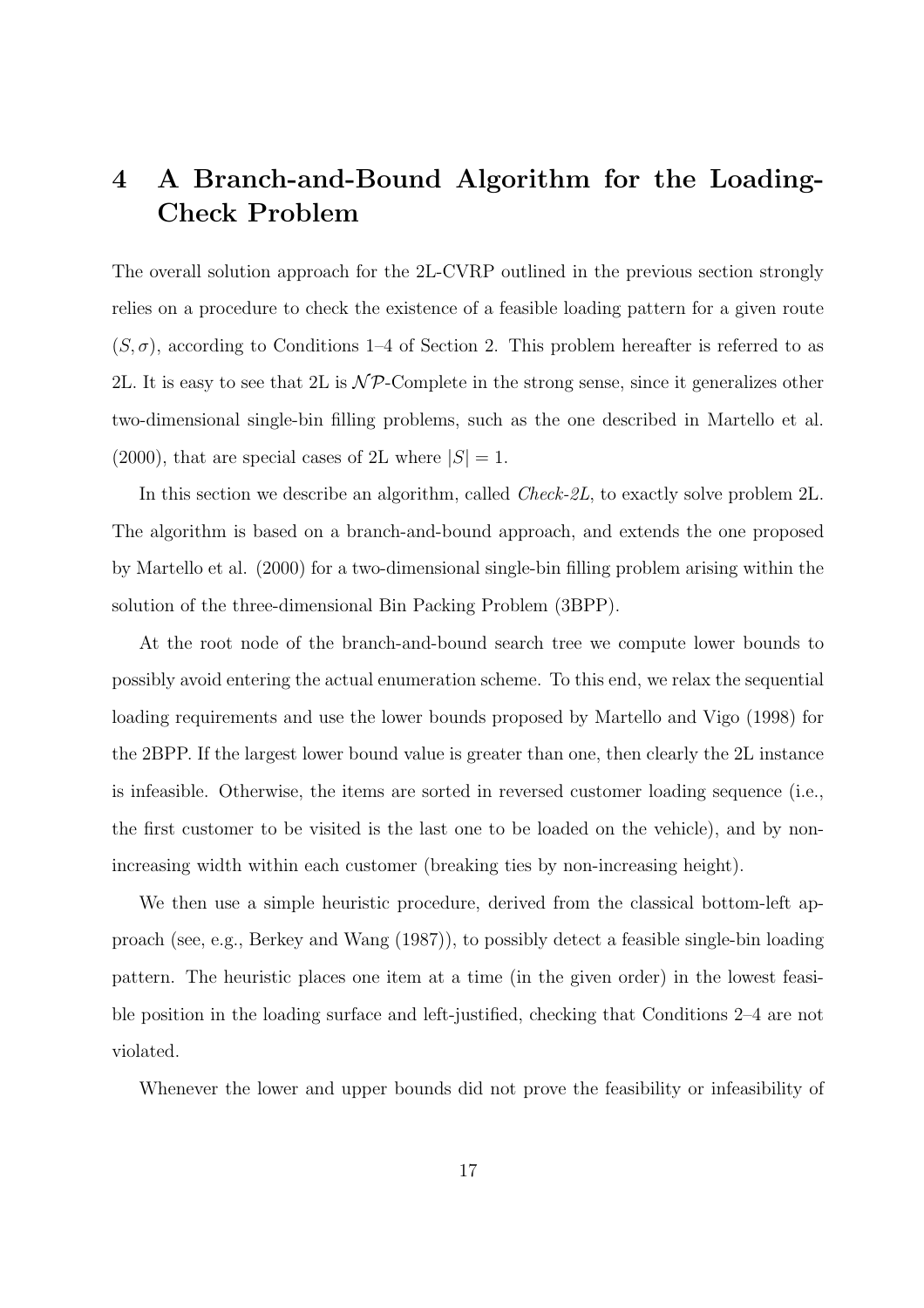# 4 A Branch-and-Bound Algorithm for the Loading-Check Problem

The overall solution approach for the 2L-CVRP outlined in the previous section strongly relies on a procedure to check the existence of a feasible loading pattern for a given route  $(S, \sigma)$ , according to Conditions 1–4 of Section 2. This problem hereafter is referred to as 2L. It is easy to see that 2L is  $N\mathcal{P}$ -Complete in the strong sense, since it generalizes other two-dimensional single-bin filling problems, such as the one described in Martello et al.  $(2000)$ , that are special cases of 2L where  $|S|=1$ .

In this section we describe an algorithm, called *Check-2L*, to exactly solve problem 2L. The algorithm is based on a branch-and-bound approach, and extends the one proposed by Martello et al. (2000) for a two-dimensional single-bin filling problem arising within the solution of the three-dimensional Bin Packing Problem (3BPP).

At the root node of the branch-and-bound search tree we compute lower bounds to possibly avoid entering the actual enumeration scheme. To this end, we relax the sequential loading requirements and use the lower bounds proposed by Martello and Vigo (1998) for the 2BPP. If the largest lower bound value is greater than one, then clearly the 2L instance is infeasible. Otherwise, the items are sorted in reversed customer loading sequence (i.e., the first customer to be visited is the last one to be loaded on the vehicle), and by nonincreasing width within each customer (breaking ties by non-increasing height).

We then use a simple heuristic procedure, derived from the classical bottom-left approach (see, e.g., Berkey and Wang (1987)), to possibly detect a feasible single-bin loading pattern. The heuristic places one item at a time (in the given order) in the lowest feasible position in the loading surface and left-justified, checking that Conditions 2–4 are not violated.

Whenever the lower and upper bounds did not prove the feasibility or infeasibility of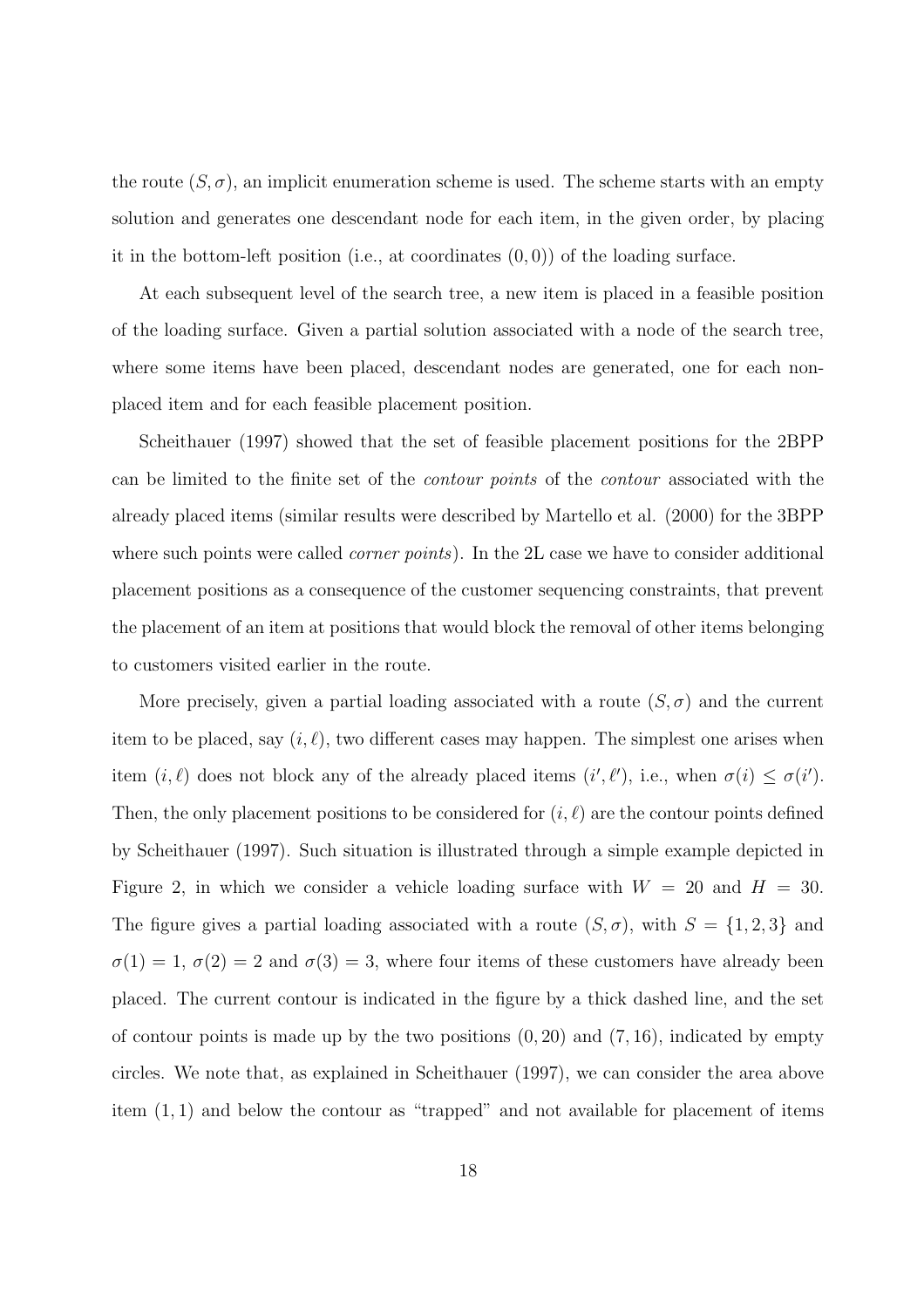the route  $(S, \sigma)$ , an implicit enumeration scheme is used. The scheme starts with an empty solution and generates one descendant node for each item, in the given order, by placing it in the bottom-left position (i.e., at coordinates  $(0,0)$ ) of the loading surface.

At each subsequent level of the search tree, a new item is placed in a feasible position of the loading surface. Given a partial solution associated with a node of the search tree, where some items have been placed, descendant nodes are generated, one for each nonplaced item and for each feasible placement position.

Scheithauer (1997) showed that the set of feasible placement positions for the 2BPP can be limited to the finite set of the contour points of the contour associated with the already placed items (similar results were described by Martello et al. (2000) for the 3BPP where such points were called *corner points*). In the 2L case we have to consider additional placement positions as a consequence of the customer sequencing constraints, that prevent the placement of an item at positions that would block the removal of other items belonging to customers visited earlier in the route.

More precisely, given a partial loading associated with a route  $(S, \sigma)$  and the current item to be placed, say  $(i, \ell)$ , two different cases may happen. The simplest one arises when item  $(i, \ell)$  does not block any of the already placed items  $(i', \ell')$ , i.e., when  $\sigma(i) \leq \sigma(i')$ . Then, the only placement positions to be considered for  $(i, \ell)$  are the contour points defined by Scheithauer (1997). Such situation is illustrated through a simple example depicted in Figure 2, in which we consider a vehicle loading surface with  $W = 20$  and  $H = 30$ . The figure gives a partial loading associated with a route  $(S, \sigma)$ , with  $S = \{1, 2, 3\}$  and  $\sigma(1) = 1, \sigma(2) = 2$  and  $\sigma(3) = 3$ , where four items of these customers have already been placed. The current contour is indicated in the figure by a thick dashed line, and the set of contour points is made up by the two positions  $(0, 20)$  and  $(7, 16)$ , indicated by empty circles. We note that, as explained in Scheithauer (1997), we can consider the area above item (1, 1) and below the contour as "trapped" and not available for placement of items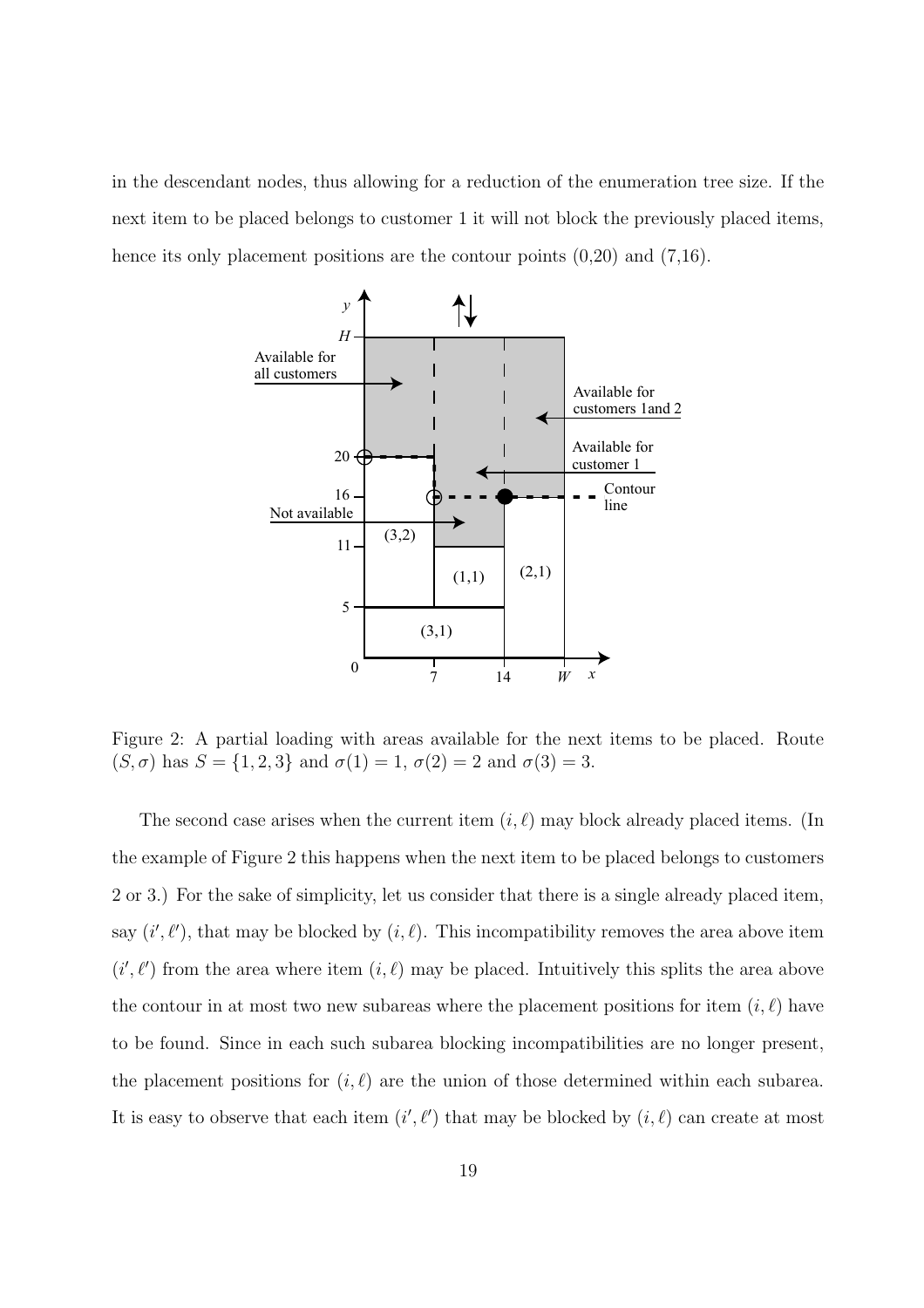in the descendant nodes, thus allowing for a reduction of the enumeration tree size. If the next item to be placed belongs to customer 1 it will not block the previously placed items, hence its only placement positions are the contour points  $(0,20)$  and  $(7,16)$ .



Figure 2: A partial loading with areas available for the next items to be placed. Route (S,  $\sigma$ ) has  $S = \{1, 2, 3\}$  and  $\sigma(1) = 1$ ,  $\sigma(2) = 2$  and  $\sigma(3) = 3$ .

The second case arises when the current item  $(i, \ell)$  may block already placed items. (In the example of Figure 2 this happens when the next item to be placed belongs to customers 2 or 3.) For the sake of simplicity, let us consider that there is a single already placed item, say  $(i', \ell')$ , that may be blocked by  $(i, \ell)$ . This incompatibility removes the area above item  $(i', \ell')$  from the area where item  $(i, \ell)$  may be placed. Intuitively this splits the area above the contour in at most two new subareas where the placement positions for item  $(i, \ell)$  have to be found. Since in each such subarea blocking incompatibilities are no longer present, the placement positions for  $(i, \ell)$  are the union of those determined within each subarea. It is easy to observe that each item  $(i', \ell')$  that may be blocked by  $(i, \ell)$  can create at most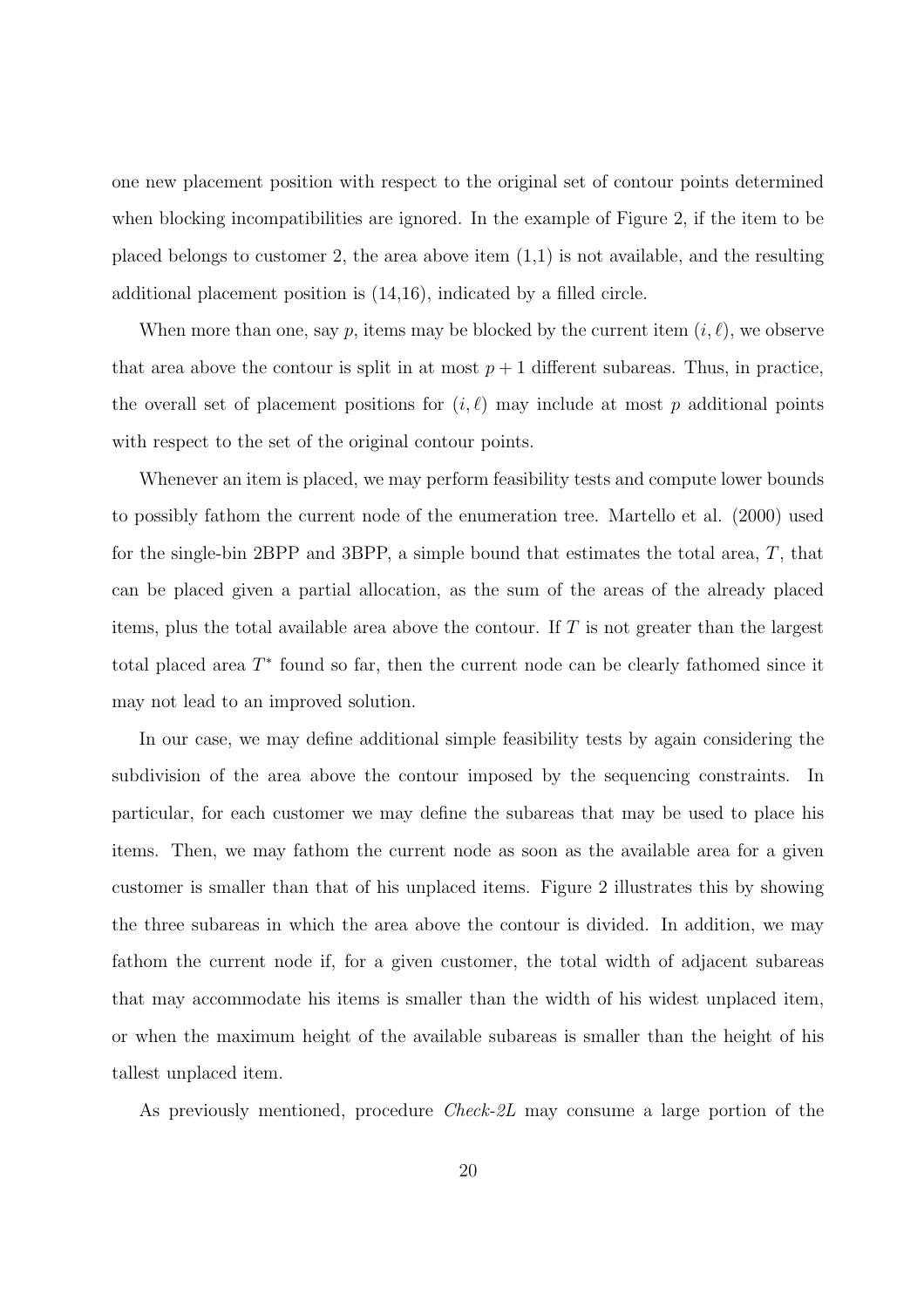one new placement position with respect to the original set of contour points determined when blocking incompatibilities are ignored. In the example of Figure 2, if the item to be placed belongs to customer 2, the area above item  $(1,1)$  is not available, and the resulting additional placement position is (14,16), indicated by a filled circle.

When more than one, say p, items may be blocked by the current item  $(i, \ell)$ , we observe that area above the contour is split in at most  $p + 1$  different subareas. Thus, in practice, the overall set of placement positions for  $(i, \ell)$  may include at most p additional points with respect to the set of the original contour points.

Whenever an item is placed, we may perform feasibility tests and compute lower bounds to possibly fathom the current node of the enumeration tree. Martello et al. (2000) used for the single-bin 2BPP and 3BPP, a simple bound that estimates the total area, T, that can be placed given a partial allocation, as the sum of the areas of the already placed items, plus the total available area above the contour. If  $T$  is not greater than the largest total placed area  $T^*$  found so far, then the current node can be clearly fathomed since it may not lead to an improved solution.

In our case, we may define additional simple feasibility tests by again considering the subdivision of the area above the contour imposed by the sequencing constraints. In particular, for each customer we may define the subareas that may be used to place his items. Then, we may fathom the current node as soon as the available area for a given customer is smaller than that of his unplaced items. Figure 2 illustrates this by showing the three subareas in which the area above the contour is divided. In addition, we may fathom the current node if, for a given customer, the total width of adjacent subareas that may accommodate his items is smaller than the width of his widest unplaced item, or when the maximum height of the available subareas is smaller than the height of his tallest unplaced item.

As previously mentioned, procedure Check-2L may consume a large portion of the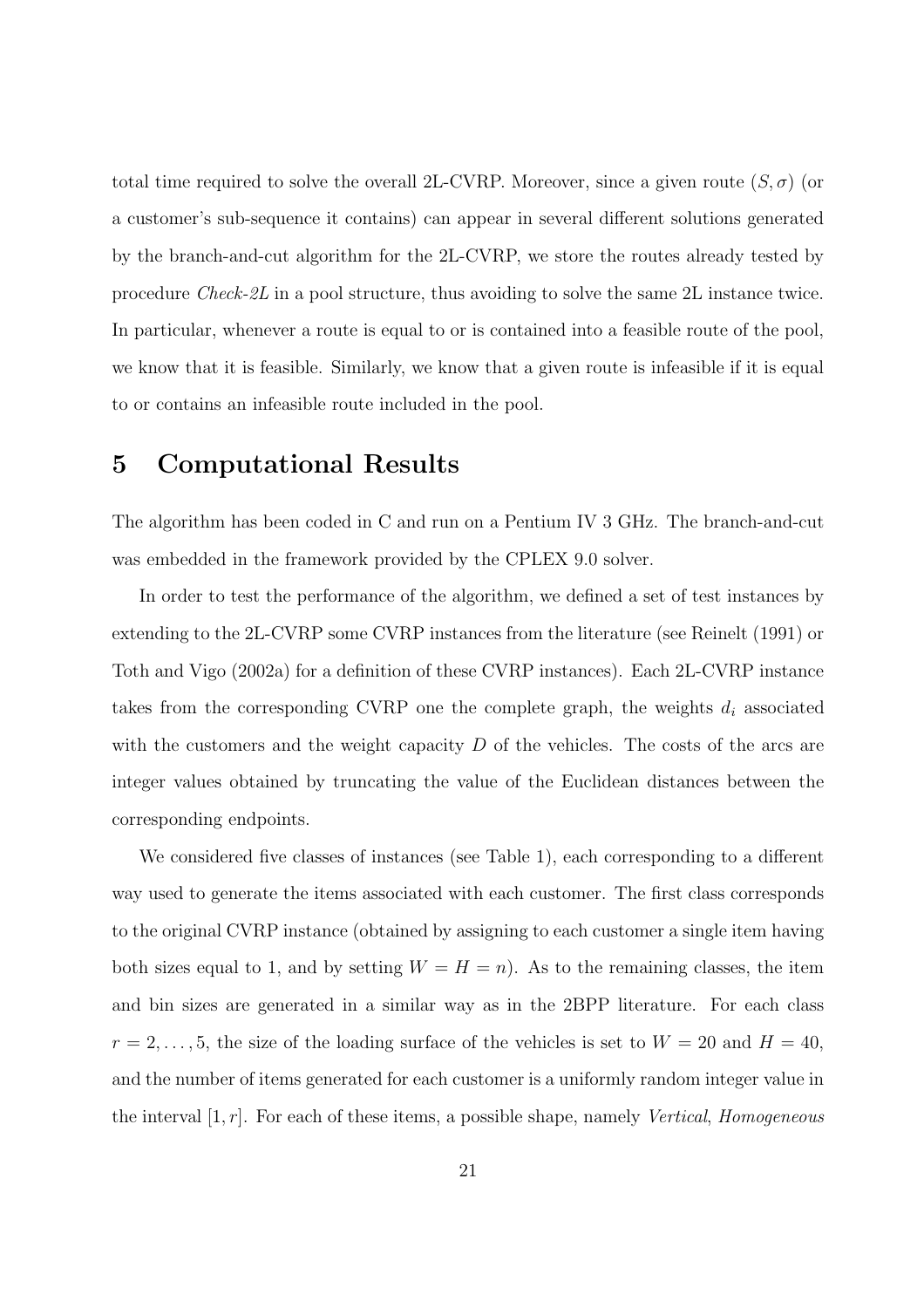total time required to solve the overall 2L-CVRP. Moreover, since a given route  $(S, \sigma)$  (or a customer's sub-sequence it contains) can appear in several different solutions generated by the branch-and-cut algorithm for the 2L-CVRP, we store the routes already tested by procedure Check-2L in a pool structure, thus avoiding to solve the same 2L instance twice. In particular, whenever a route is equal to or is contained into a feasible route of the pool, we know that it is feasible. Similarly, we know that a given route is infeasible if it is equal to or contains an infeasible route included in the pool.

## 5 Computational Results

The algorithm has been coded in C and run on a Pentium IV 3 GHz. The branch-and-cut was embedded in the framework provided by the CPLEX 9.0 solver.

In order to test the performance of the algorithm, we defined a set of test instances by extending to the 2L-CVRP some CVRP instances from the literature (see Reinelt (1991) or Toth and Vigo (2002a) for a definition of these CVRP instances). Each 2L-CVRP instance takes from the corresponding CVRP one the complete graph, the weights  $d_i$  associated with the customers and the weight capacity  $D$  of the vehicles. The costs of the arcs are integer values obtained by truncating the value of the Euclidean distances between the corresponding endpoints.

We considered five classes of instances (see Table 1), each corresponding to a different way used to generate the items associated with each customer. The first class corresponds to the original CVRP instance (obtained by assigning to each customer a single item having both sizes equal to 1, and by setting  $W = H = n$ ). As to the remaining classes, the item and bin sizes are generated in a similar way as in the 2BPP literature. For each class  $r = 2, \ldots, 5$ , the size of the loading surface of the vehicles is set to  $W = 20$  and  $H = 40$ , and the number of items generated for each customer is a uniformly random integer value in the interval  $[1, r]$ . For each of these items, a possible shape, namely *Vertical, Homogeneous*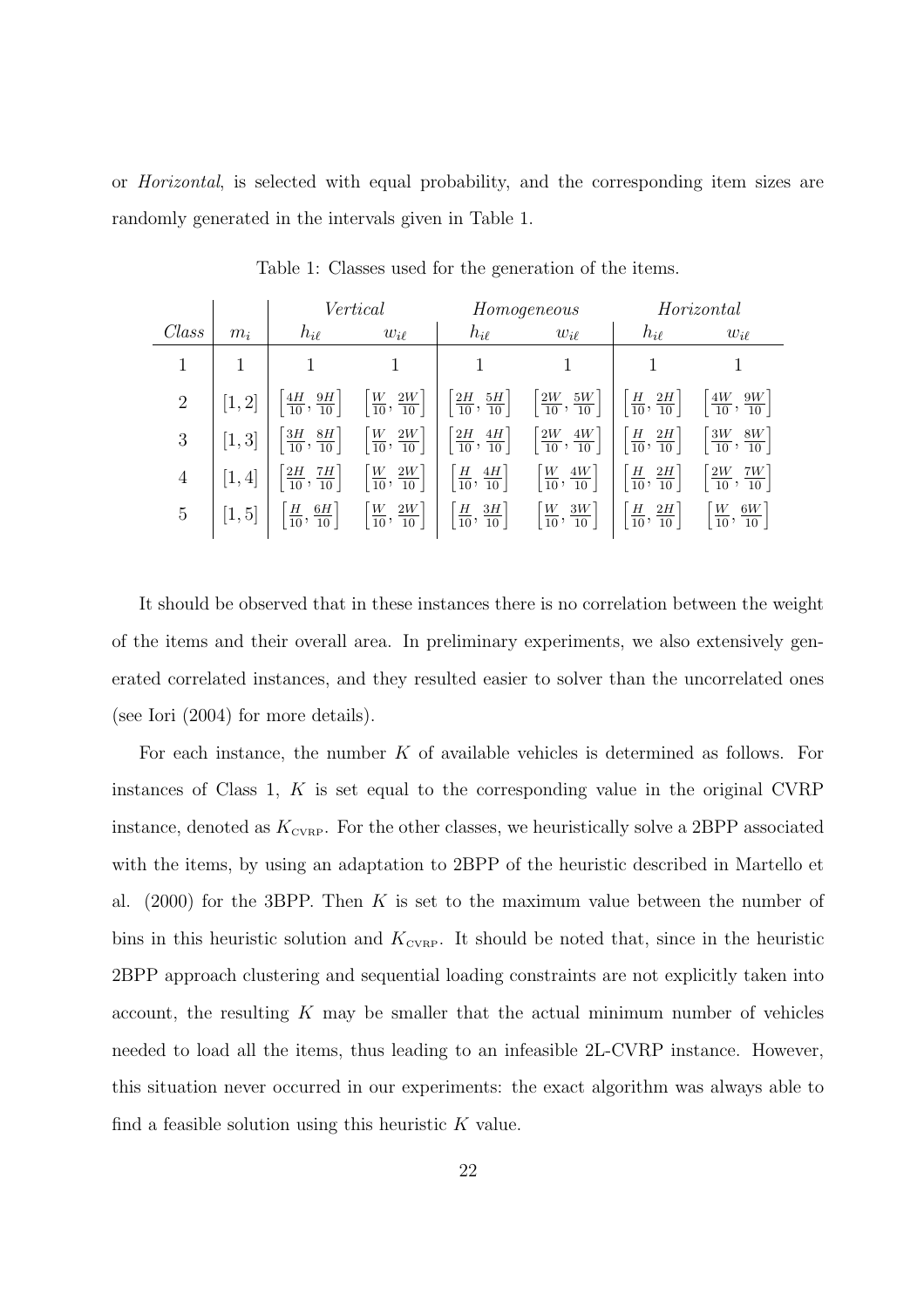or Horizontal, is selected with equal probability, and the corresponding item sizes are randomly generated in the intervals given in Table 1.

|                |        |                                            | Vertical                                  |                                            | Homogeneous                                | Horizontal                                |                                            |  |  |
|----------------|--------|--------------------------------------------|-------------------------------------------|--------------------------------------------|--------------------------------------------|-------------------------------------------|--------------------------------------------|--|--|
| Class          | $m_i$  | $h_{i\ell}$                                | $w_{i\ell}$                               | $h_{i\ell}$                                | $w_{i\ell}$                                | $h_{i\ell}$                               | $w_{i\ell}$                                |  |  |
| 1              |        |                                            |                                           |                                            |                                            |                                           |                                            |  |  |
| $\overline{2}$ | [1, 2] | $\frac{4H}{10}$ ,<br>$\frac{9H}{10}$       | $\left[\frac{W}{10},\frac{2W}{10}\right]$ | $\left[\frac{2H}{10},\frac{5H}{10}\right]$ | $\left[\frac{2W}{10},\frac{5W}{10}\right]$ | $\left[\frac{H}{10},\frac{2H}{10}\right]$ | $\frac{9W}{10}$<br>$\frac{4W}{10}$ ,       |  |  |
| 3              | [1,3]  | $\left[\frac{3H}{10},\frac{8H}{10}\right]$ | $\left[\frac{W}{10},\frac{2W}{10}\right]$ | $\left[\frac{2H}{10},\frac{4H}{10}\right]$ | $\left[\frac{2W}{10},\frac{4W}{10}\right]$ | $\left[\frac{H}{10},\frac{2H}{10}\right]$ | $\left[\frac{3W}{10},\frac{8W}{10}\right]$ |  |  |
| $\overline{4}$ | [1, 4] | $\left[\frac{2H}{10},\frac{7H}{10}\right]$ | $\left[\frac{W}{10},\frac{2W}{10}\right]$ | $\left[\frac{H}{10}, \frac{4H}{10}\right]$ | $\left[\frac{W}{10},\frac{4W}{10}\right]$  | $\left[\frac{H}{10},\frac{2H}{10}\right]$ | $\frac{2W}{10},$<br>$\frac{7W}{10}$        |  |  |
| $\overline{5}$ | [1, 5] | $\left[\frac{H}{10}, \frac{6H}{10}\right]$ | $\left[\frac{W}{10},\frac{2W}{10}\right]$ | $\left[\frac{H}{10},\frac{3H}{10}\right]$  | $\frac{W}{10}$ ,<br>$\frac{3W}{10}$        | $\left[\frac{H}{10},\frac{2H}{10}\right]$ | $\frac{W}{10}$<br>$\frac{6W}{10}$          |  |  |

Table 1: Classes used for the generation of the items.

It should be observed that in these instances there is no correlation between the weight of the items and their overall area. In preliminary experiments, we also extensively generated correlated instances, and they resulted easier to solver than the uncorrelated ones (see Iori (2004) for more details).

For each instance, the number K of available vehicles is determined as follows. For instances of Class 1,  $K$  is set equal to the corresponding value in the original CVRP instance, denoted as  $K_{\text{cvRP}}$ . For the other classes, we heuristically solve a 2BPP associated with the items, by using an adaptation to 2BPP of the heuristic described in Martello et al.  $(2000)$  for the 3BPP. Then K is set to the maximum value between the number of bins in this heuristic solution and  $K_{\text{cvRP}}$ . It should be noted that, since in the heuristic 2BPP approach clustering and sequential loading constraints are not explicitly taken into account, the resulting  $K$  may be smaller that the actual minimum number of vehicles needed to load all the items, thus leading to an infeasible 2L-CVRP instance. However, this situation never occurred in our experiments: the exact algorithm was always able to find a feasible solution using this heuristic  $K$  value.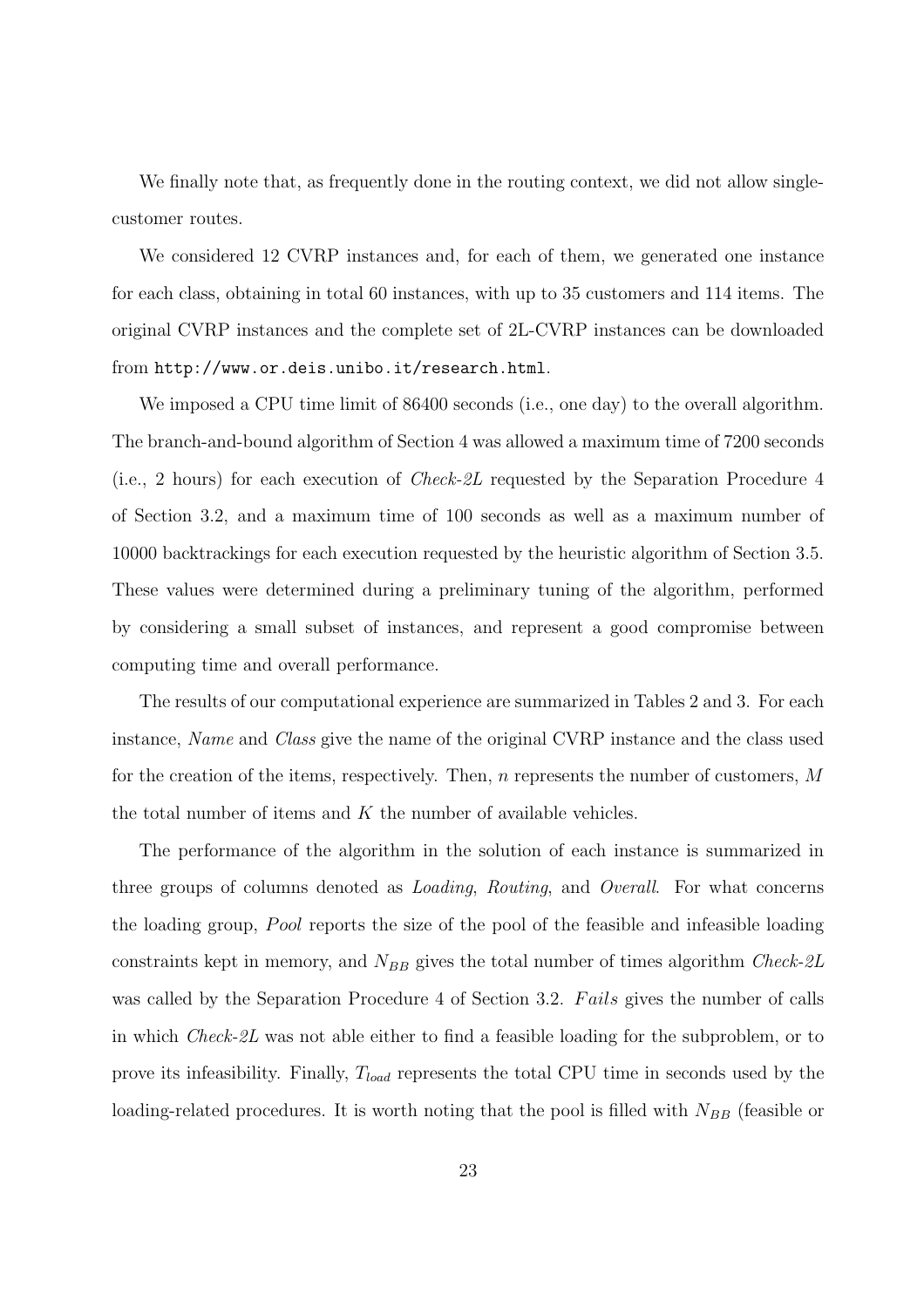We finally note that, as frequently done in the routing context, we did not allow singlecustomer routes.

We considered 12 CVRP instances and, for each of them, we generated one instance for each class, obtaining in total 60 instances, with up to 35 customers and 114 items. The original CVRP instances and the complete set of 2L-CVRP instances can be downloaded from http://www.or.deis.unibo.it/research.html.

We imposed a CPU time limit of 86400 seconds (i.e., one day) to the overall algorithm. The branch-and-bound algorithm of Section 4 was allowed a maximum time of 7200 seconds (i.e., 2 hours) for each execution of Check-2L requested by the Separation Procedure 4 of Section 3.2, and a maximum time of 100 seconds as well as a maximum number of 10000 backtrackings for each execution requested by the heuristic algorithm of Section 3.5. These values were determined during a preliminary tuning of the algorithm, performed by considering a small subset of instances, and represent a good compromise between computing time and overall performance.

The results of our computational experience are summarized in Tables 2 and 3. For each instance, Name and Class give the name of the original CVRP instance and the class used for the creation of the items, respectively. Then,  $n$  represents the number of customers,  $M$ the total number of items and  $K$  the number of available vehicles.

The performance of the algorithm in the solution of each instance is summarized in three groups of columns denoted as Loading, Routing, and Overall. For what concerns the loading group, Pool reports the size of the pool of the feasible and infeasible loading constraints kept in memory, and  $N_{BB}$  gives the total number of times algorithm Check-2L was called by the Separation Procedure 4 of Section 3.2. Fails gives the number of calls in which Check-2L was not able either to find a feasible loading for the subproblem, or to prove its infeasibility. Finally,  $T_{load}$  represents the total CPU time in seconds used by the loading-related procedures. It is worth noting that the pool is filled with  $N_{BB}$  (feasible or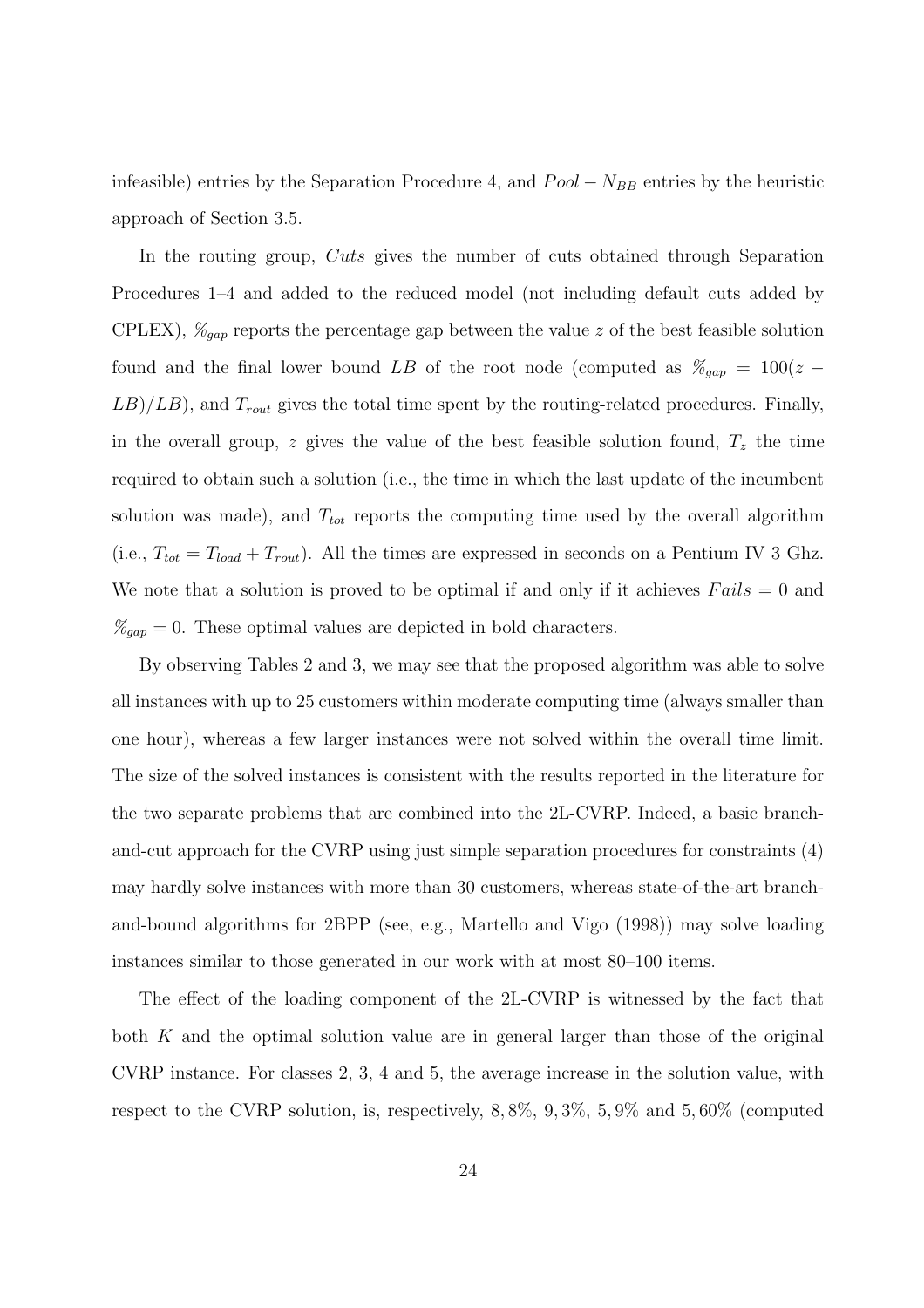infeasible) entries by the Separation Procedure 4, and  $Pool - N_{BB}$  entries by the heuristic approach of Section 3.5.

In the routing group, Cuts gives the number of cuts obtained through Separation Procedures 1–4 and added to the reduced model (not including default cuts added by CPLEX),  $\mathcal{C}_{gap}$  reports the percentage gap between the value z of the best feasible solution found and the final lower bound LB of the root node (computed as  $\mathcal{H}_{gap} = 100(z (LB)/LB$ ), and  $T_{\text{rout}}$  gives the total time spent by the routing-related procedures. Finally, in the overall group, z gives the value of the best feasible solution found,  $T<sub>z</sub>$  the time required to obtain such a solution (i.e., the time in which the last update of the incumbent solution was made), and  $T_{tot}$  reports the computing time used by the overall algorithm (i.e.,  $T_{tot} = T_{load} + T_{rout}$ ). All the times are expressed in seconds on a Pentium IV 3 Ghz. We note that a solution is proved to be optimal if and only if it achieves  $Fails = 0$  and  $\mathcal{K}_{gap} = 0$ . These optimal values are depicted in bold characters.

By observing Tables 2 and 3, we may see that the proposed algorithm was able to solve all instances with up to 25 customers within moderate computing time (always smaller than one hour), whereas a few larger instances were not solved within the overall time limit. The size of the solved instances is consistent with the results reported in the literature for the two separate problems that are combined into the 2L-CVRP. Indeed, a basic branchand-cut approach for the CVRP using just simple separation procedures for constraints (4) may hardly solve instances with more than 30 customers, whereas state-of-the-art branchand-bound algorithms for 2BPP (see, e.g., Martello and Vigo (1998)) may solve loading instances similar to those generated in our work with at most 80–100 items.

The effect of the loading component of the 2L-CVRP is witnessed by the fact that both  $K$  and the optimal solution value are in general larger than those of the original CVRP instance. For classes 2, 3, 4 and 5, the average increase in the solution value, with respect to the CVRP solution, is, respectively, 8, 8%, 9, 3%, 5, 9% and 5, 60% (computed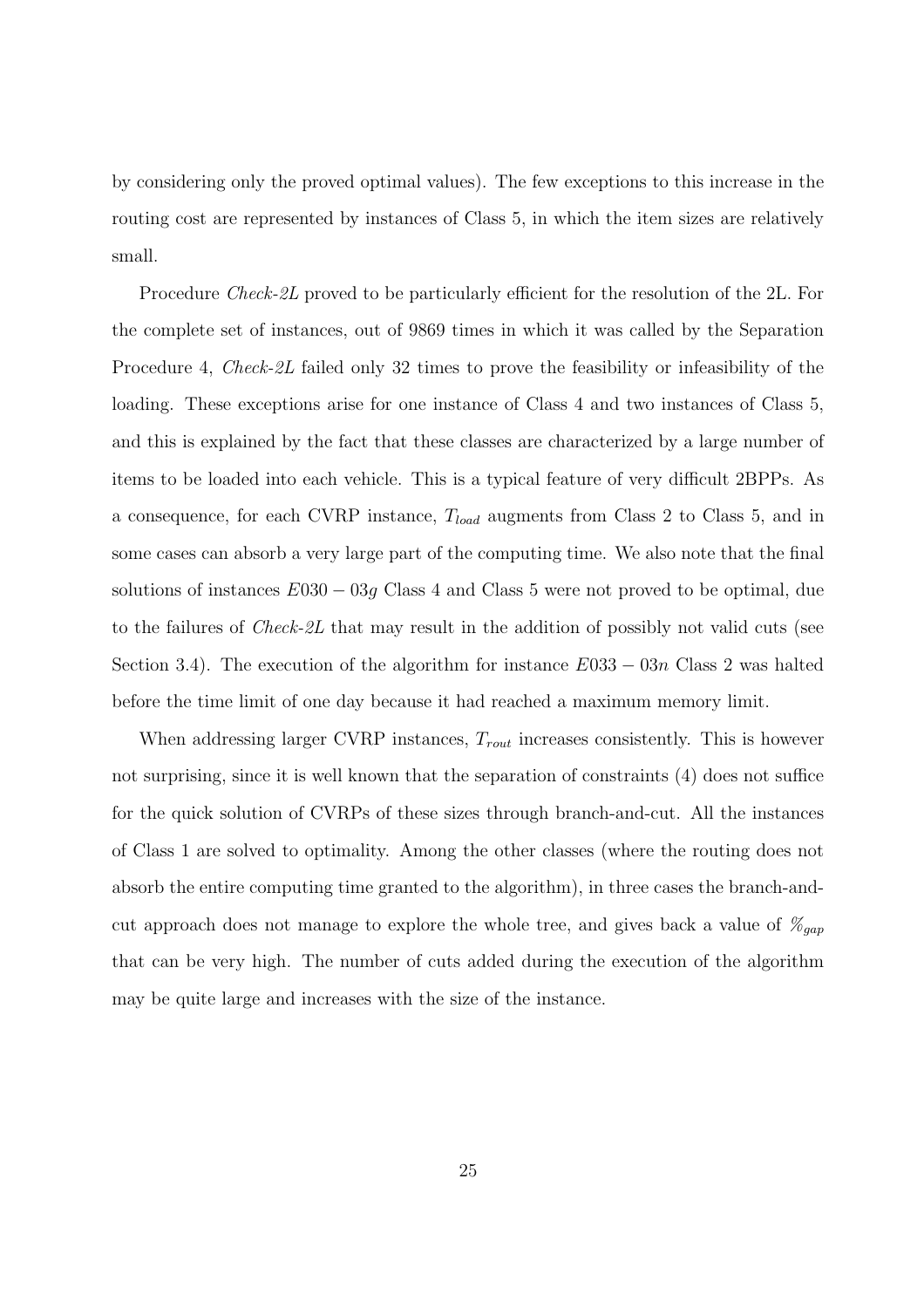by considering only the proved optimal values). The few exceptions to this increase in the routing cost are represented by instances of Class 5, in which the item sizes are relatively small.

Procedure *Check-2L* proved to be particularly efficient for the resolution of the 2L. For the complete set of instances, out of 9869 times in which it was called by the Separation Procedure 4, Check-2L failed only 32 times to prove the feasibility or infeasibility of the loading. These exceptions arise for one instance of Class 4 and two instances of Class 5, and this is explained by the fact that these classes are characterized by a large number of items to be loaded into each vehicle. This is a typical feature of very difficult 2BPPs. As a consequence, for each CVRP instance,  $T_{load}$  augments from Class 2 to Class 5, and in some cases can absorb a very large part of the computing time. We also note that the final solutions of instances  $E030 - 03q$  Class 4 and Class 5 were not proved to be optimal, due to the failures of Check-2L that may result in the addition of possibly not valid cuts (see Section 3.4). The execution of the algorithm for instance  $E033 - 03n$  Class 2 was halted before the time limit of one day because it had reached a maximum memory limit.

When addressing larger CVRP instances,  $T_{rout}$  increases consistently. This is however not surprising, since it is well known that the separation of constraints (4) does not suffice for the quick solution of CVRPs of these sizes through branch-and-cut. All the instances of Class 1 are solved to optimality. Among the other classes (where the routing does not absorb the entire computing time granted to the algorithm), in three cases the branch-andcut approach does not manage to explore the whole tree, and gives back a value of  $\mathcal{Z}_{gap}$ that can be very high. The number of cuts added during the execution of the algorithm may be quite large and increases with the size of the instance.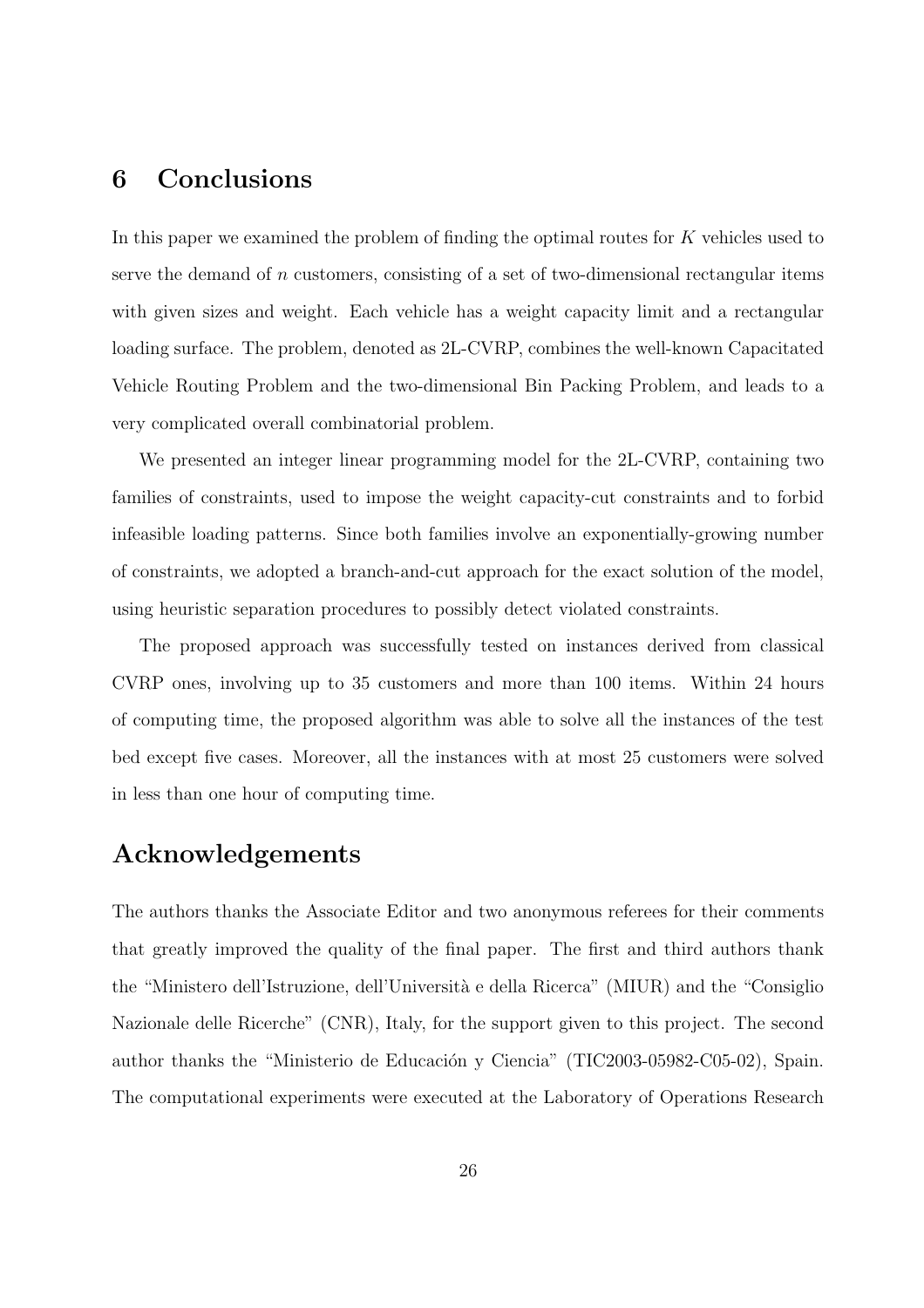## 6 Conclusions

In this paper we examined the problem of finding the optimal routes for K vehicles used to serve the demand of n customers, consisting of a set of two-dimensional rectangular items with given sizes and weight. Each vehicle has a weight capacity limit and a rectangular loading surface. The problem, denoted as 2L-CVRP, combines the well-known Capacitated Vehicle Routing Problem and the two-dimensional Bin Packing Problem, and leads to a very complicated overall combinatorial problem.

We presented an integer linear programming model for the 2L-CVRP, containing two families of constraints, used to impose the weight capacity-cut constraints and to forbid infeasible loading patterns. Since both families involve an exponentially-growing number of constraints, we adopted a branch-and-cut approach for the exact solution of the model, using heuristic separation procedures to possibly detect violated constraints.

The proposed approach was successfully tested on instances derived from classical CVRP ones, involving up to 35 customers and more than 100 items. Within 24 hours of computing time, the proposed algorithm was able to solve all the instances of the test bed except five cases. Moreover, all the instances with at most 25 customers were solved in less than one hour of computing time.

# Acknowledgements

The authors thanks the Associate Editor and two anonymous referees for their comments that greatly improved the quality of the final paper. The first and third authors thank the "Ministero dell'Istruzione, dell'Università e della Ricerca" (MIUR) and the "Consiglio Nazionale delle Ricerche" (CNR), Italy, for the support given to this project. The second author thanks the "Ministerio de Educación y Ciencia" (TIC2003-05982-C05-02), Spain. The computational experiments were executed at the Laboratory of Operations Research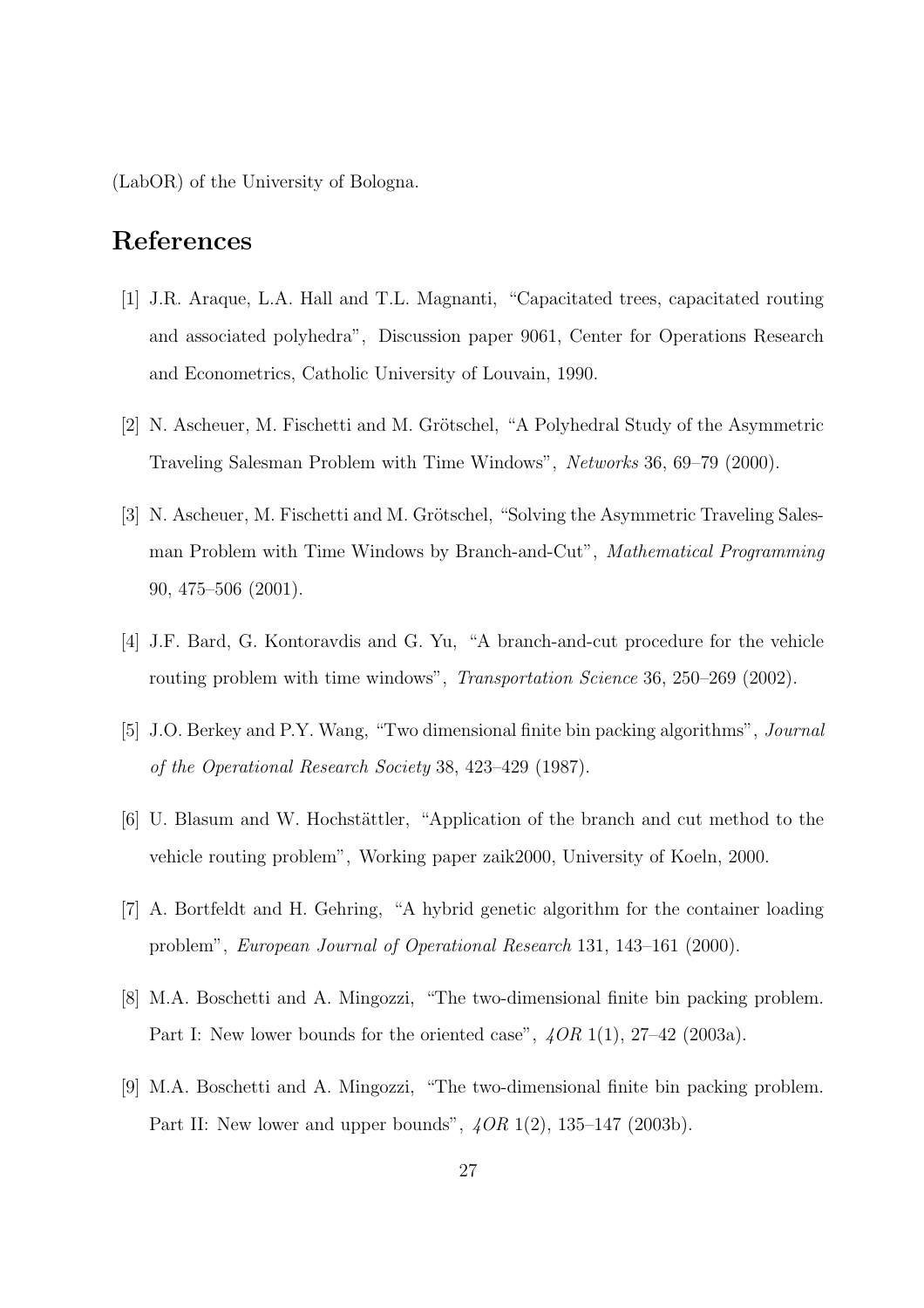(LabOR) of the University of Bologna.

# References

- [1] J.R. Araque, L.A. Hall and T.L. Magnanti, "Capacitated trees, capacitated routing and associated polyhedra", Discussion paper 9061, Center for Operations Research and Econometrics, Catholic University of Louvain, 1990.
- [2] N. Ascheuer, M. Fischetti and M. Grötschel, "A Polyhedral Study of the Asymmetric Traveling Salesman Problem with Time Windows", Networks 36, 69–79 (2000).
- [3] N. Ascheuer, M. Fischetti and M. Grötschel, "Solving the Asymmetric Traveling Salesman Problem with Time Windows by Branch-and-Cut", Mathematical Programming 90, 475–506 (2001).
- [4] J.F. Bard, G. Kontoravdis and G. Yu, "A branch-and-cut procedure for the vehicle routing problem with time windows", *Transportation Science* 36, 250–269 (2002).
- [5] J.O. Berkey and P.Y. Wang, "Two dimensional finite bin packing algorithms", Journal of the Operational Research Society 38, 423–429 (1987).
- [6] U. Blasum and W. Hochstättler, "Application of the branch and cut method to the vehicle routing problem", Working paper zaik2000, University of Koeln, 2000.
- [7] A. Bortfeldt and H. Gehring, "A hybrid genetic algorithm for the container loading problem", European Journal of Operational Research 131, 143–161 (2000).
- [8] M.A. Boschetti and A. Mingozzi, "The two-dimensional finite bin packing problem. Part I: New lower bounds for the oriented case",  $4OR 1(1)$ ,  $27-42$  (2003a).
- [9] M.A. Boschetti and A. Mingozzi, "The two-dimensional finite bin packing problem. Part II: New lower and upper bounds", 4OR 1(2), 135–147 (2003b).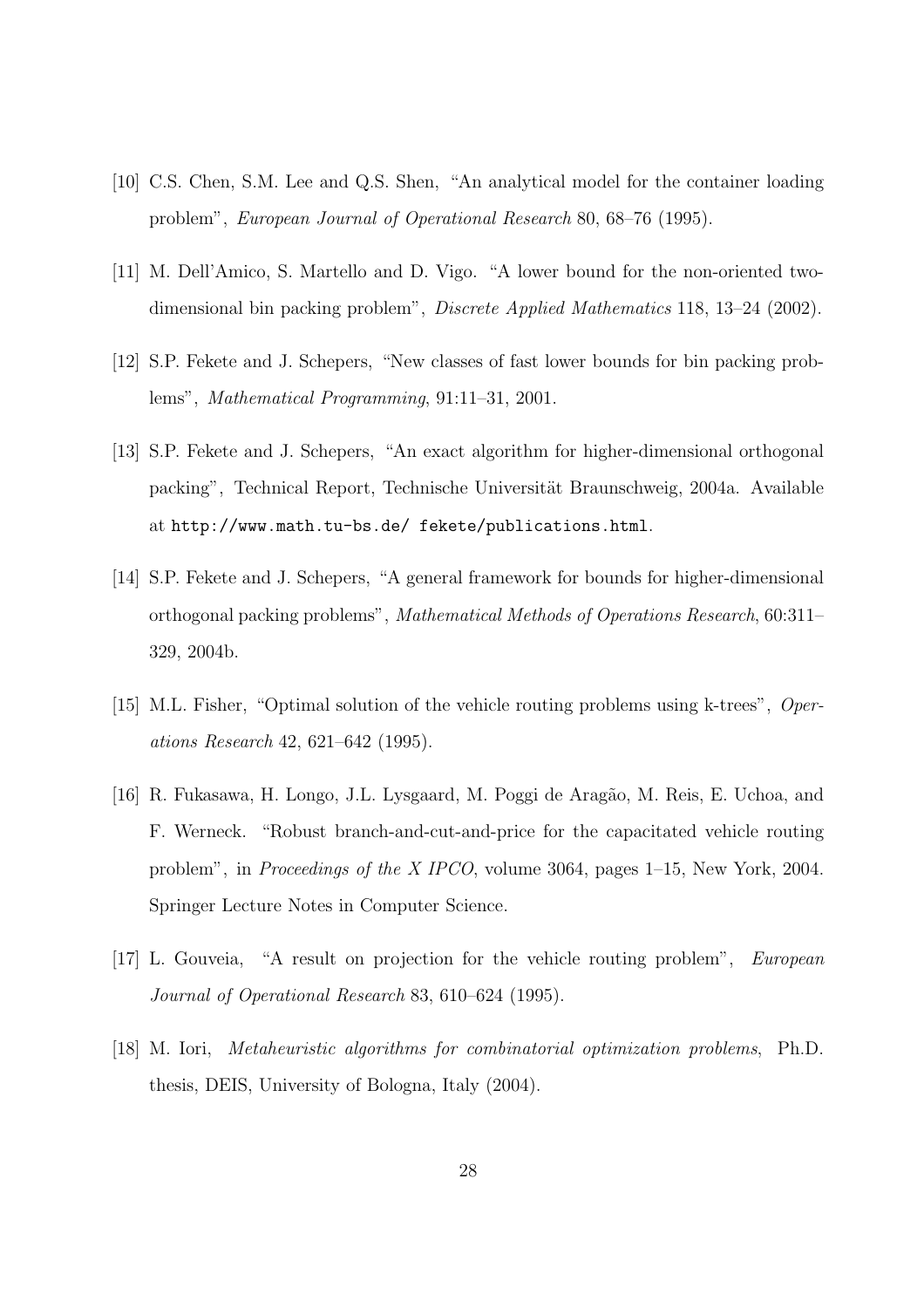- [10] C.S. Chen, S.M. Lee and Q.S. Shen, "An analytical model for the container loading problem", European Journal of Operational Research 80, 68–76 (1995).
- [11] M. Dell'Amico, S. Martello and D. Vigo. "A lower bound for the non-oriented twodimensional bin packing problem", Discrete Applied Mathematics 118, 13–24 (2002).
- [12] S.P. Fekete and J. Schepers, "New classes of fast lower bounds for bin packing problems", Mathematical Programming, 91:11–31, 2001.
- [13] S.P. Fekete and J. Schepers, "An exact algorithm for higher-dimensional orthogonal packing", Technical Report, Technische Universität Braunschweig, 2004a. Available at http://www.math.tu-bs.de/ fekete/publications.html.
- [14] S.P. Fekete and J. Schepers, "A general framework for bounds for higher-dimensional orthogonal packing problems", Mathematical Methods of Operations Research, 60:311– 329, 2004b.
- [15] M.L. Fisher, "Optimal solution of the vehicle routing problems using k-trees", Operations Research 42, 621–642 (1995).
- [16] R. Fukasawa, H. Longo, J.L. Lysgaard, M. Poggi de Aragão, M. Reis, E. Uchoa, and F. Werneck. "Robust branch-and-cut-and-price for the capacitated vehicle routing problem", in Proceedings of the X IPCO, volume 3064, pages 1–15, New York, 2004. Springer Lecture Notes in Computer Science.
- [17] L. Gouveia, "A result on projection for the vehicle routing problem", European Journal of Operational Research 83, 610–624 (1995).
- [18] M. Iori, Metaheuristic algorithms for combinatorial optimization problems, Ph.D. thesis, DEIS, University of Bologna, Italy (2004).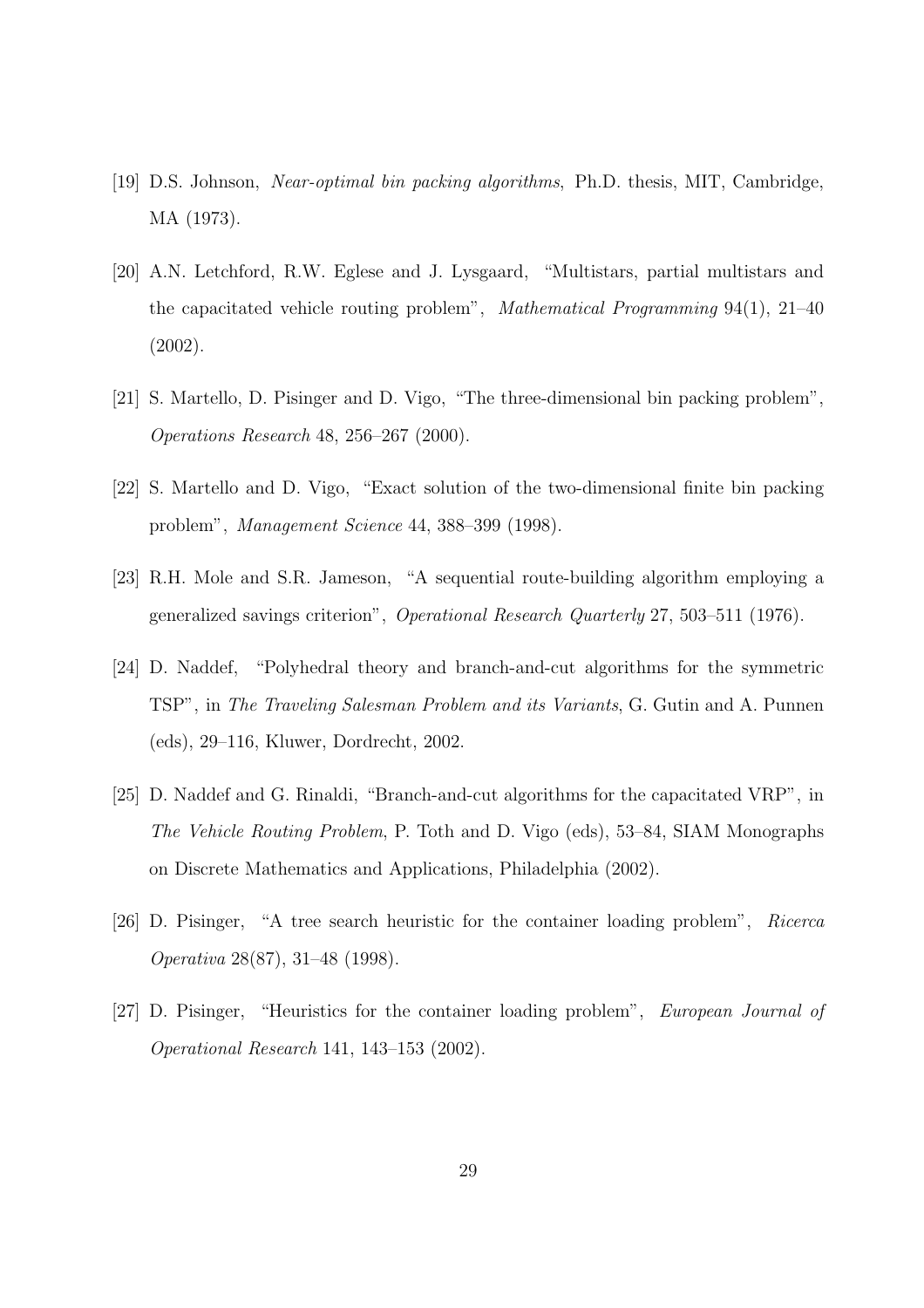- [19] D.S. Johnson, Near-optimal bin packing algorithms, Ph.D. thesis, MIT, Cambridge, MA (1973).
- [20] A.N. Letchford, R.W. Eglese and J. Lysgaard, "Multistars, partial multistars and the capacitated vehicle routing problem", Mathematical Programming 94(1), 21–40 (2002).
- [21] S. Martello, D. Pisinger and D. Vigo, "The three-dimensional bin packing problem", Operations Research 48, 256–267 (2000).
- [22] S. Martello and D. Vigo, "Exact solution of the two-dimensional finite bin packing problem", Management Science 44, 388–399 (1998).
- [23] R.H. Mole and S.R. Jameson, "A sequential route-building algorithm employing a generalized savings criterion", Operational Research Quarterly 27, 503–511 (1976).
- [24] D. Naddef, "Polyhedral theory and branch-and-cut algorithms for the symmetric TSP", in The Traveling Salesman Problem and its Variants, G. Gutin and A. Punnen (eds), 29–116, Kluwer, Dordrecht, 2002.
- [25] D. Naddef and G. Rinaldi, "Branch-and-cut algorithms for the capacitated VRP", in The Vehicle Routing Problem, P. Toth and D. Vigo (eds), 53–84, SIAM Monographs on Discrete Mathematics and Applications, Philadelphia (2002).
- [26] D. Pisinger, "A tree search heuristic for the container loading problem", Ricerca Operativa 28(87), 31–48 (1998).
- [27] D. Pisinger, "Heuristics for the container loading problem", European Journal of Operational Research 141, 143–153 (2002).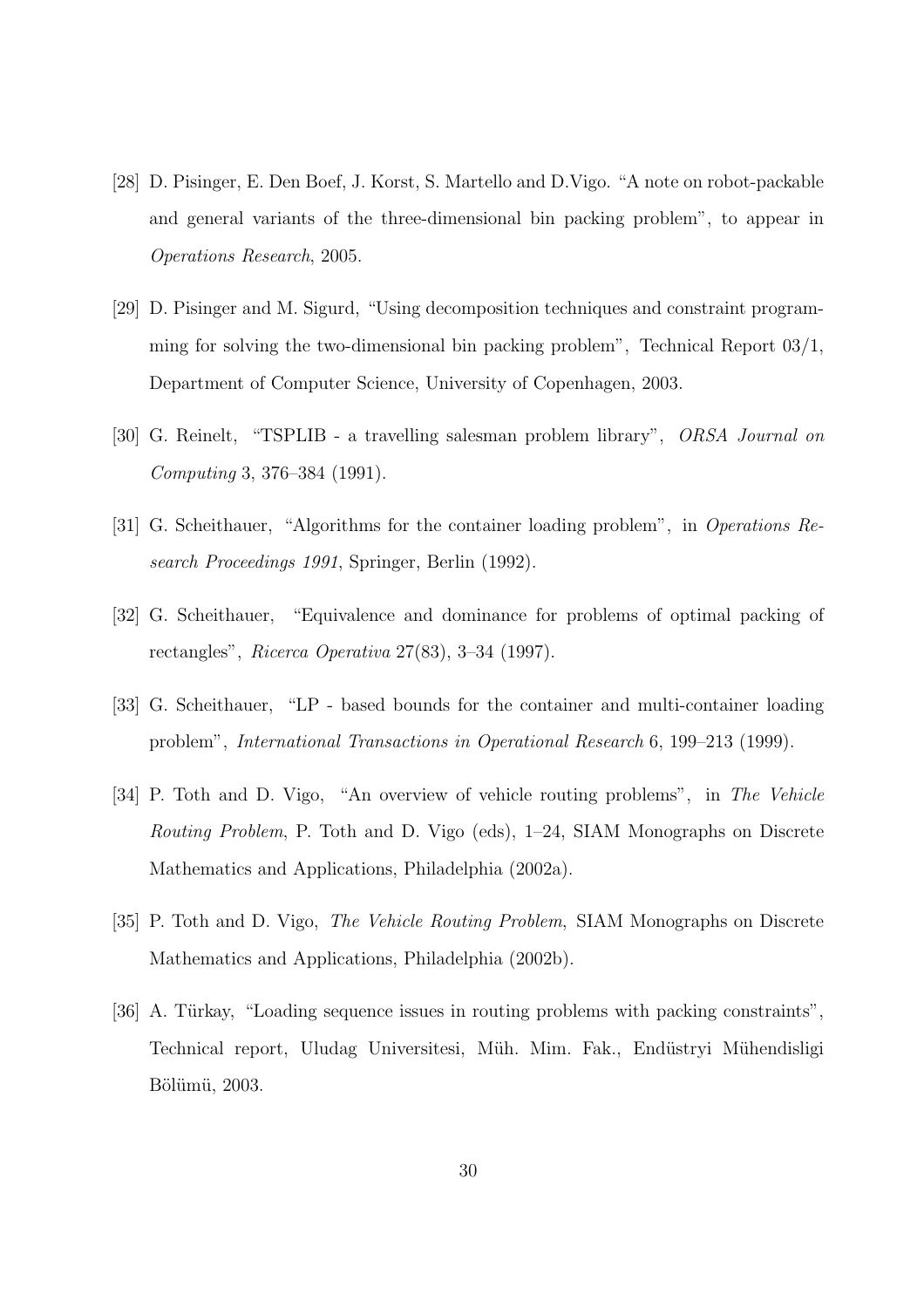- [28] D. Pisinger, E. Den Boef, J. Korst, S. Martello and D.Vigo. "A note on robot-packable and general variants of the three-dimensional bin packing problem", to appear in Operations Research, 2005.
- [29] D. Pisinger and M. Sigurd, "Using decomposition techniques and constraint programming for solving the two-dimensional bin packing problem", Technical Report 03/1, Department of Computer Science, University of Copenhagen, 2003.
- [30] G. Reinelt, "TSPLIB a travelling salesman problem library", ORSA Journal on Computing 3, 376–384 (1991).
- [31] G. Scheithauer, "Algorithms for the container loading problem", in Operations Research Proceedings 1991, Springer, Berlin (1992).
- [32] G. Scheithauer, "Equivalence and dominance for problems of optimal packing of rectangles", Ricerca Operativa  $27(83)$ ,  $3-34$  (1997).
- [33] G. Scheithauer, "LP based bounds for the container and multi-container loading problem", International Transactions in Operational Research 6, 199–213 (1999).
- [34] P. Toth and D. Vigo, "An overview of vehicle routing problems", in The Vehicle Routing Problem, P. Toth and D. Vigo (eds), 1–24, SIAM Monographs on Discrete Mathematics and Applications, Philadelphia (2002a).
- [35] P. Toth and D. Vigo, The Vehicle Routing Problem, SIAM Monographs on Discrete Mathematics and Applications, Philadelphia (2002b).
- [36] A. Türkay, "Loading sequence issues in routing problems with packing constraints", Technical report, Uludag Universitesi, Müh. Mim. Fak., Endüstryi Mühendisligi Bölümü, 2003.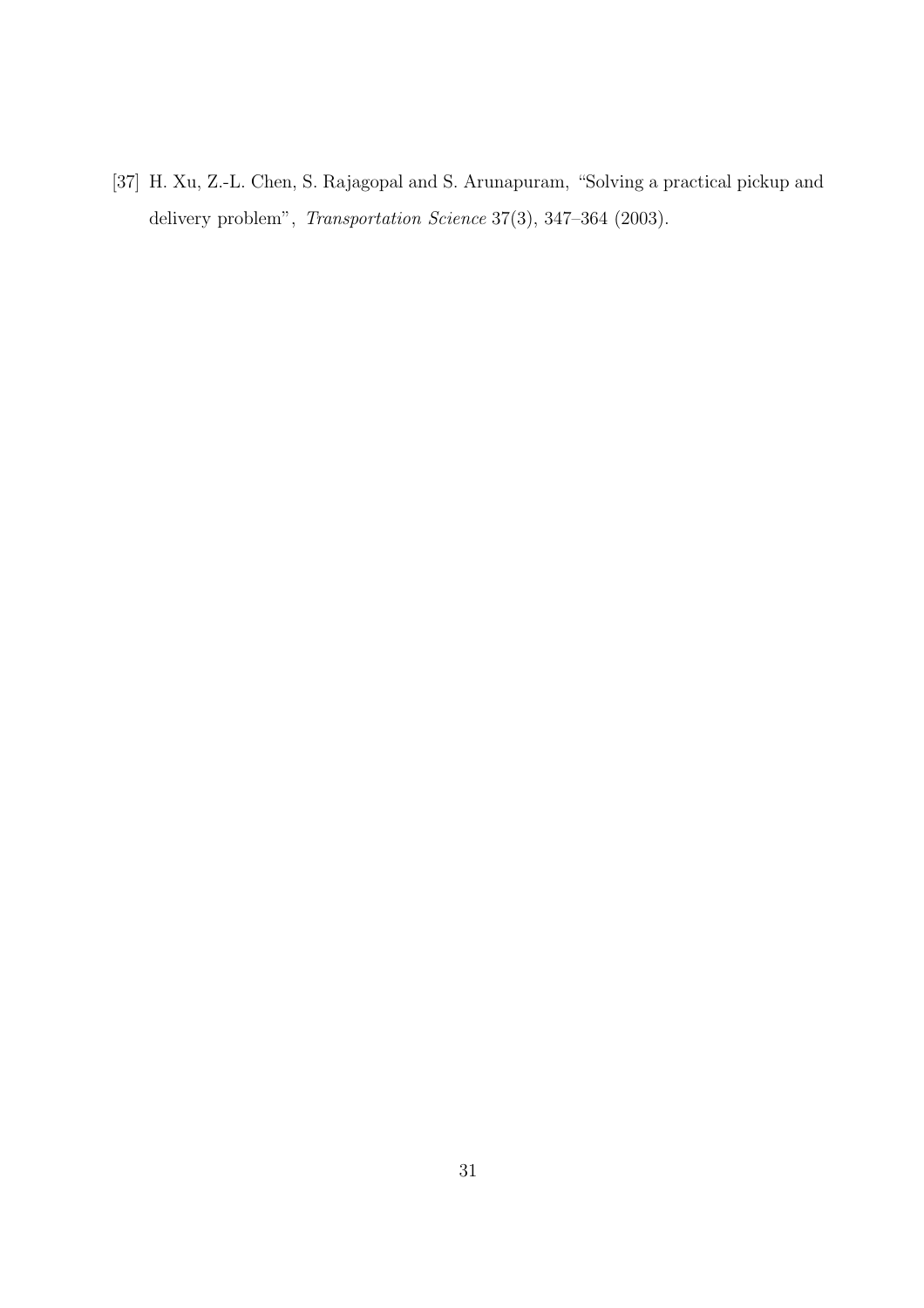[37] H. Xu, Z.-L. Chen, S. Rajagopal and S. Arunapuram, "Solving a practical pickup and delivery problem", Transportation Science 37(3), 347–364 (2003).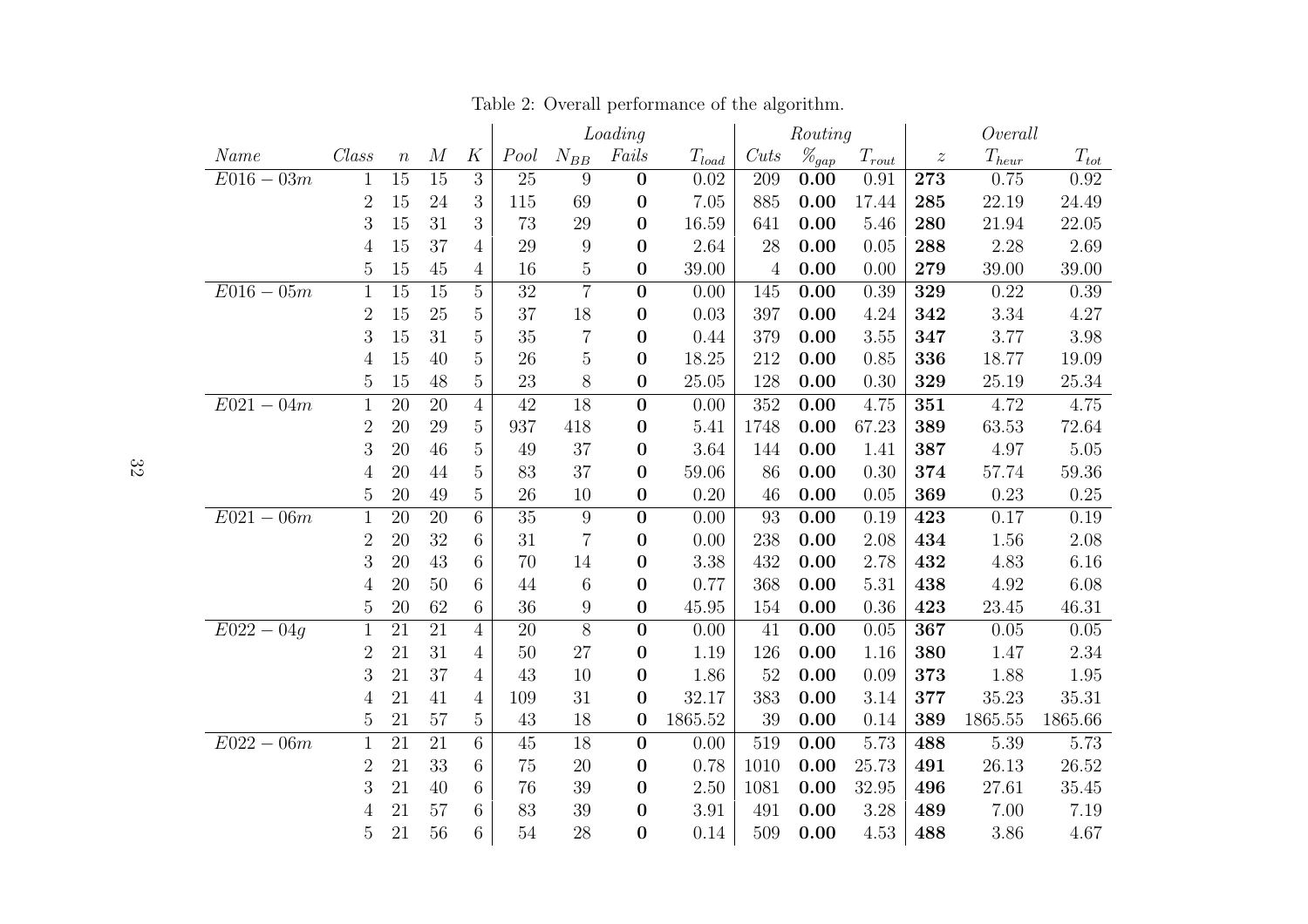|              |                  |                  |                  |                  | Loading         |                  |                  | Routing    |                  |                     | Overall         |                  |            |           |
|--------------|------------------|------------------|------------------|------------------|-----------------|------------------|------------------|------------|------------------|---------------------|-----------------|------------------|------------|-----------|
| Name         | $\mathit{Class}$ | $\boldsymbol{n}$ | $\boldsymbol{M}$ | K                | Pool            | $N_{BB}$         | Fails            | $T_{load}$ | Cuts             | $\mathscr{H}_{gap}$ | $T_{\it{rout}}$ | $\boldsymbol{z}$ | $T_{heur}$ | $T_{tot}$ |
| $E016 - 03m$ | $\mathbf{1}$     | 15               | 15               | $\sqrt{3}$       | 25              | $\overline{9}$   | $\boldsymbol{0}$ | 0.02       | 209              | 0.00                | 0.91            | 273              | 0.75       | 0.92      |
|              | $\overline{2}$   | 15               | $24\,$           | $\boldsymbol{3}$ | 115             | 69               | $\boldsymbol{0}$ | 7.05       | 885              | 0.00                | 17.44           | 285              | 22.19      | 24.49     |
|              | 3                | 15               | 31               | 3                | 73              | 29               | $\boldsymbol{0}$ | 16.59      | 641              | 0.00                | 5.46            | 280              | 21.94      | 22.05     |
|              | 4                | 15               | 37               | $\overline{4}$   | 29              | 9                | $\boldsymbol{0}$ | 2.64       | 28               | 0.00                | 0.05            | 288              | 2.28       | 2.69      |
|              | 5                | 15               | 45               | 4                | 16              | $\overline{5}$   | $\boldsymbol{0}$ | 39.00      | 4                | 0.00                | 0.00            | 279              | 39.00      | 39.00     |
| $E016 - 05m$ | $\mathbf{1}$     | $\overline{15}$  | 15               | $\overline{5}$   | 32              | $\overline{7}$   | $\boldsymbol{0}$ | 0.00       | 145              | 0.00                | 0.39            | 329              | 0.22       | 0.39      |
|              | $\overline{2}$   | 15               | $25\,$           | 5                | 37              | 18               | $\boldsymbol{0}$ | 0.03       | 397              | 0.00                | 4.24            | 342              | 3.34       | 4.27      |
|              | 3                | 15               | 31               | $\overline{5}$   | 35              | $\overline{7}$   | $\boldsymbol{0}$ | 0.44       | 379              | 0.00                | 3.55            | 347              | 3.77       | 3.98      |
|              | 4                | 15               | 40               | $\overline{5}$   | 26              | $\overline{5}$   | $\boldsymbol{0}$ | 18.25      | 212              | 0.00                | 0.85            | 336              | 18.77      | 19.09     |
|              | $\overline{5}$   | 15               | 48               | $\overline{5}$   | 23              | 8                | $\boldsymbol{0}$ | 25.05      | 128              | 0.00                | 0.30            | 329              | 25.19      | 25.34     |
| $E021 - 04m$ | $\mathbf{1}$     | $\overline{20}$  | $\overline{20}$  | $\overline{4}$   | $\overline{42}$ | 18               | $\boldsymbol{0}$ | 0.00       | $\overline{352}$ | 0.00                | 4.75            | 351              | 4.72       | 4.75      |
|              | $\overline{2}$   | 20               | 29               | $\overline{5}$   | 937             | 418              | $\boldsymbol{0}$ | 5.41       | 1748             | 0.00                | 67.23           | 389              | 63.53      | 72.64     |
|              | 3                | 20               | 46               | $\overline{5}$   | 49              | 37               | $\boldsymbol{0}$ | 3.64       | 144              | 0.00                | 1.41            | 387              | 4.97       | 5.05      |
|              | 4                | 20               | 44               | $\overline{5}$   | 83              | 37               | $\boldsymbol{0}$ | 59.06      | 86               | 0.00                | 0.30            | 374              | 57.74      | 59.36     |
|              | $\overline{5}$   | 20               | 49               | 5                | 26              | 10               | $\boldsymbol{0}$ | 0.20       | 46               | 0.00                | 0.05            | 369              | 0.23       | 0.25      |
| $E021 - 06m$ | $\mathbf{1}$     | 20               | 20               | 6                | 35              | $9$              | $\boldsymbol{0}$ | 0.00       | 93               | 0.00                | 0.19            | 423              | 0.17       | 0.19      |
|              | $\overline{2}$   | 20               | 32               | 6                | 31              | $\overline{7}$   | $\boldsymbol{0}$ | 0.00       | 238              | 0.00                | 2.08            | 434              | 1.56       | 2.08      |
|              | 3                | 20               | 43               | 6                | 70              | 14               | $\boldsymbol{0}$ | 3.38       | 432              | 0.00                | 2.78            | 432              | 4.83       | 6.16      |
|              | 4                | 20               | 50               | 6                | 44              | 6                | $\boldsymbol{0}$ | 0.77       | 368              | 0.00                | 5.31            | 438              | 4.92       | 6.08      |
|              | 5                | 20               | 62               | 6                | 36              | $\boldsymbol{9}$ | $\boldsymbol{0}$ | 45.95      | 154              | 0.00                | 0.36            | 423              | 23.45      | 46.31     |
| $E022 - 04q$ | $\mathbf{1}$     | 21               | $\overline{21}$  | $\overline{4}$   | 20              | $\overline{8}$   | $\boldsymbol{0}$ | 0.00       | 41               | 0.00                | 0.05            | 367              | 0.05       | $0.05\,$  |
|              | $\overline{2}$   | 21               | 31               | $\overline{4}$   | 50              | 27               | $\boldsymbol{0}$ | 1.19       | 126              | 0.00                | 1.16            | 380              | 1.47       | 2.34      |
|              | 3                | 21               | 37               | 4                | 43              | 10               | $\boldsymbol{0}$ | 1.86       | 52               | 0.00                | 0.09            | 373              | 1.88       | 1.95      |
|              | 4                | 21               | 41               | $\overline{4}$   | 109             | 31               | $\boldsymbol{0}$ | 32.17      | 383              | 0.00                | 3.14            | 377              | 35.23      | 35.31     |
|              | 5                | 21               | 57               | 5                | 43              | 18               | $\boldsymbol{0}$ | 1865.52    | 39               | 0.00                | 0.14            | 389              | 1865.55    | 1865.66   |
| $E022 - 06m$ | $\mathbf{1}$     | $\overline{21}$  | $\overline{21}$  | 6                | 45              | $\overline{18}$  | $\bf{0}$         | 0.00       | 519              | 0.00                | 5.73            | 488              | 5.39       | 5.73      |
|              | $\overline{2}$   | 21               | 33               | 6                | 75              | 20               | $\boldsymbol{0}$ | 0.78       | 1010             | 0.00                | 25.73           | 491              | 26.13      | 26.52     |
|              | 3                | 21               | 40               | 6                | 76              | 39               | $\boldsymbol{0}$ | 2.50       | 1081             | 0.00                | 32.95           | 496              | 27.61      | 35.45     |
|              | 4                | 21               | 57               | 6                | 83              | 39               | $\boldsymbol{0}$ | 3.91       | 491              | 0.00                | 3.28            | 489              | 7.00       | 7.19      |
|              | 5                | 21               | 56               | 6                | 54              | 28               | $\bf{0}$         | 0.14       | 509              | 0.00                | 4.53            | 488              | 3.86       | 4.67      |

Table 2: Overall performance of the algorithm.